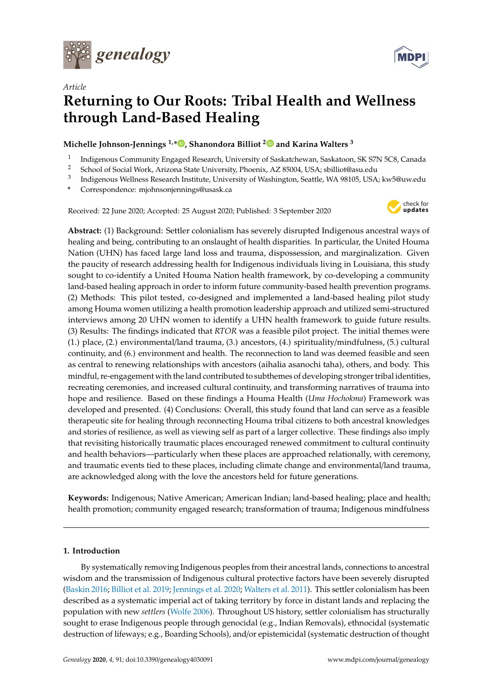

*Article*



# **Returning to Our Roots: Tribal Health and Wellness through Land-Based Healing**

# **Michelle Johnson-Jennings 1,[\\*](https://orcid.org/0000-0002-0140-407X) , Shanondora Billiot [2](https://orcid.org/0000-0002-3488-0451) and Karina Walters <sup>3</sup>**

- 1 Indigenous Community Engaged Research, University of Saskatchewan, Saskatoon, SK S7N 5C8, Canada
- <sup>2</sup> School of Social Work, Arizona State University, Phoenix, AZ 85004, USA; sbilliot@asu.edu
- 3 Indigenous Wellness Research Institute, University of Washington, Seattle, WA 98105, USA; kw5@uw.edu
- **\*** Correspondence: mjohnsonjennings@usask.ca

Received: 22 June 2020; Accepted: 25 August 2020; Published: 3 September 2020



**Abstract:** (1) Background: Settler colonialism has severely disrupted Indigenous ancestral ways of healing and being, contributing to an onslaught of health disparities. In particular, the United Houma Nation (UHN) has faced large land loss and trauma, dispossession, and marginalization. Given the paucity of research addressing health for Indigenous individuals living in Louisiana, this study sought to co-identify a United Houma Nation health framework, by co-developing a community land-based healing approach in order to inform future community-based health prevention programs. (2) Methods: This pilot tested, co-designed and implemented a land-based healing pilot study among Houma women utilizing a health promotion leadership approach and utilized semi-structured interviews among 20 UHN women to identify a UHN health framework to guide future results. (3) Results: The findings indicated that *RTOR* was a feasible pilot project. The initial themes were (1.) place, (2.) environmental/land trauma, (3.) ancestors, (4.) spirituality/mindfulness, (5.) cultural continuity, and (6.) environment and health. The reconnection to land was deemed feasible and seen as central to renewing relationships with ancestors (aihalia asanochi taha), others, and body. This mindful, re-engagement with the land contributed to subthemes of developing stronger tribal identities, recreating ceremonies, and increased cultural continuity, and transforming narratives of trauma into hope and resilience. Based on these findings a Houma Health (*Uma Hochokma*) Framework was developed and presented. (4) Conclusions: Overall, this study found that land can serve as a feasible therapeutic site for healing through reconnecting Houma tribal citizens to both ancestral knowledges and stories of resilience, as well as viewing self as part of a larger collective. These findings also imply that revisiting historically traumatic places encouraged renewed commitment to cultural continuity and health behaviors—particularly when these places are approached relationally, with ceremony, and traumatic events tied to these places, including climate change and environmental/land trauma, are acknowledged along with the love the ancestors held for future generations.

**Keywords:** Indigenous; Native American; American Indian; land-based healing; place and health; health promotion; community engaged research; transformation of trauma; Indigenous mindfulness

## **1. Introduction**

By systematically removing Indigenous peoples from their ancestral lands, connections to ancestral wisdom and the transmission of Indigenous cultural protective factors have been severely disrupted [\(Baskin](#page-17-0) [2016;](#page-17-0) [Billiot et al.](#page-17-1) [2019;](#page-17-1) [Jennings et al.](#page-18-0) [2020;](#page-18-0) [Walters et al.](#page-20-0) [2011\)](#page-20-0). This settler colonialism has been described as a systematic imperial act of taking territory by force in distant lands and replacing the population with new *settlers* [\(Wolfe](#page-20-1) [2006\)](#page-20-1). Throughout US history, settler colonialism has structurally sought to erase Indigenous people through genocidal (e.g., Indian Removals), ethnocidal (systematic destruction of lifeways; e.g., Boarding Schools), and/or epistemicidal (systematic destruction of thought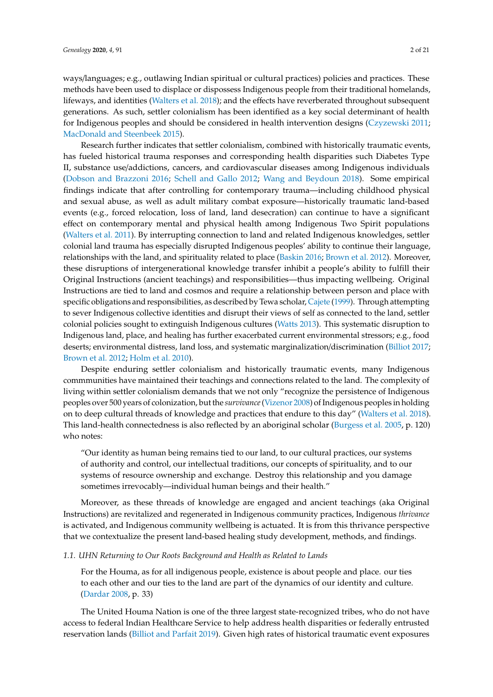ways/languages; e.g., outlawing Indian spiritual or cultural practices) policies and practices. These

methods have been used to displace or dispossess Indigenous people from their traditional homelands, lifeways, and identities [\(Walters et al.](#page-20-2) [2018\)](#page-20-2); and the effects have reverberated throughout subsequent generations. As such, settler colonialism has been identified as a key social determinant of health for Indigenous peoples and should be considered in health intervention designs [\(Czyzewski](#page-18-1) [2011;](#page-18-1) [MacDonald and Steenbeek](#page-19-0) [2015\)](#page-19-0).

Research further indicates that settler colonialism, combined with historically traumatic events, has fueled historical trauma responses and corresponding health disparities such Diabetes Type II, substance use/addictions, cancers, and cardiovascular diseases among Indigenous individuals [\(Dobson and Brazzoni](#page-18-2) [2016;](#page-18-2) [Schell and Gallo](#page-19-1) [2012;](#page-19-1) [Wang and Beydoun](#page-20-3) [2018\)](#page-20-3). Some empirical findings indicate that after controlling for contemporary trauma—including childhood physical and sexual abuse, as well as adult military combat exposure—historically traumatic land-based events (e.g., forced relocation, loss of land, land desecration) can continue to have a significant effect on contemporary mental and physical health among Indigenous Two Spirit populations [\(Walters et al.](#page-20-0) [2011\)](#page-20-0). By interrupting connection to land and related Indigenous knowledges, settler colonial land trauma has especially disrupted Indigenous peoples' ability to continue their language, relationships with the land, and spirituality related to place [\(Baskin](#page-17-0) [2016;](#page-17-0) [Brown et al.](#page-17-2) [2012\)](#page-17-2). Moreover, these disruptions of intergenerational knowledge transfer inhibit a people's ability to fulfill their Original Instructions (ancient teachings) and responsibilities—thus impacting wellbeing. Original Instructions are tied to land and cosmos and require a relationship between person and place with specific obligations and responsibilities, as described by Tewa scholar, [Cajete](#page-17-3) [\(1999\)](#page-17-3). Through attempting to sever Indigenous collective identities and disrupt their views of self as connected to the land, settler colonial policies sought to extinguish Indigenous cultures [\(Watts](#page-20-4) [2013\)](#page-20-4). This systematic disruption to Indigenous land, place, and healing has further exacerbated current environmental stressors; e.g., food deserts; environmental distress, land loss, and systematic marginalization/discrimination [\(Billiot](#page-17-4) [2017;](#page-17-4) [Brown et al.](#page-17-2) [2012;](#page-17-2) [Holm et al.](#page-18-3) [2010\)](#page-18-3).

Despite enduring settler colonialism and historically traumatic events, many Indigenous commmunities have maintained their teachings and connections related to the land. The complexity of living within settler colonialism demands that we not only "recognize the persistence of Indigenous peoples over 500 years of colonization, but the *survivance*[\(Vizenor](#page-20-5) [2008\)](#page-20-5) of Indigenous peoples in holding on to deep cultural threads of knowledge and practices that endure to this day" [\(Walters et al.](#page-20-2) [2018\)](#page-20-2). This land-health connectedness is also reflected by an aboriginal scholar [\(Burgess et al.](#page-17-5) [2005,](#page-17-5) p. 120) who notes:

"Our identity as human being remains tied to our land, to our cultural practices, our systems of authority and control, our intellectual traditions, our concepts of spirituality, and to our systems of resource ownership and exchange. Destroy this relationship and you damage sometimes irrevocably—individual human beings and their health."

Moreover, as these threads of knowledge are engaged and ancient teachings (aka Original Instructions) are revitalized and regenerated in Indigenous community practices, Indigenous *thrivance* is activated, and Indigenous community wellbeing is actuated. It is from this thrivance perspective that we contextualize the present land-based healing study development, methods, and findings.

## *1.1. UHN Returning to Our Roots Background and Health as Related to Lands*

For the Houma, as for all indigenous people, existence is about people and place. our ties to each other and our ties to the land are part of the dynamics of our identity and culture. [\(Dardar](#page-18-4) [2008,](#page-18-4) p. 33)

The United Houma Nation is one of the three largest state-recognized tribes, who do not have access to federal Indian Healthcare Service to help address health disparities or federally entrusted reservation lands [\(Billiot and Parfait](#page-17-6) [2019\)](#page-17-6). Given high rates of historical traumatic event exposures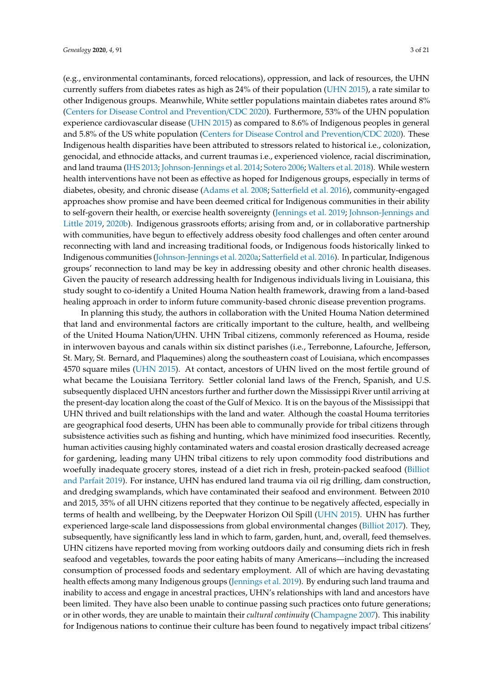(e.g., environmental contaminants, forced relocations), oppression, and lack of resources, the UHN currently suffers from diabetes rates as high as 24% of their population [\(UHN](#page-20-6) [2015\)](#page-20-6), a rate similar to other Indigenous groups. Meanwhile, White settler populations maintain diabetes rates around 8% [\(Centers for Disease Control and Prevention](#page-17-7)/CDC [2020\)](#page-17-7). Furthermore, 53% of the UHN population experience cardiovascular disease [\(UHN](#page-20-6) [2015\)](#page-20-6) as compared to 8.6% of Indigenous peoples in general and 5.8% of the US white population [\(Centers for Disease Control and Prevention](#page-17-7)/CDC [2020\)](#page-17-7). These Indigenous health disparities have been attributed to stressors related to historical i.e., colonization, genocidal, and ethnocide attacks, and current traumas i.e., experienced violence, racial discrimination, and land trauma [\(IHS](#page-18-5) [2013;](#page-18-5) [Johnson-Jennings et al.](#page-18-6) [2014;](#page-18-6) [Sotero](#page-20-7) [2006;](#page-20-7) [Walters et al.](#page-20-2) [2018\)](#page-20-2). While western health interventions have not been as effective as hoped for Indigenous groups, especially in terms of diabetes, obesity, and chronic disease [\(Adams et al.](#page-17-8) [2008;](#page-17-8) [Satterfield et al.](#page-19-2) [2016\)](#page-19-2), community-engaged approaches show promise and have been deemed critical for Indigenous communities in their ability to self-govern their health, or exercise health sovereignty [\(Jennings et al.](#page-18-7) [2019;](#page-18-7) [Johnson-Jennings and](#page-18-8) [Little](#page-18-8) [2019,](#page-18-8) [2020b\)](#page-19-3). Indigenous grassroots efforts; arising from and, or in collaborative partnership with communities, have begun to effectively address obesity food challenges and often center around reconnecting with land and increasing traditional foods, or Indigenous foods historically linked to Indigenous communities [\(Johnson-Jennings et al.](#page-18-9) [2020a;](#page-18-9) [Satterfield et al.](#page-19-2) [2016\)](#page-19-2). In particular, Indigenous groups' reconnection to land may be key in addressing obesity and other chronic health diseases. Given the paucity of research addressing health for Indigenous individuals living in Louisiana, this study sought to co-identify a United Houma Nation health framework, drawing from a land-based healing approach in order to inform future community-based chronic disease prevention programs.

In planning this study, the authors in collaboration with the United Houma Nation determined that land and environmental factors are critically important to the culture, health, and wellbeing of the United Houma Nation/UHN. UHN Tribal citizens, commonly referenced as Houma, reside in interwoven bayous and canals within six distinct parishes (i.e., Terrebonne, Lafourche, Jefferson, St. Mary, St. Bernard, and Plaquemines) along the southeastern coast of Louisiana, which encompasses 4570 square miles [\(UHN](#page-20-6) [2015\)](#page-20-6). At contact, ancestors of UHN lived on the most fertile ground of what became the Louisiana Territory. Settler colonial land laws of the French, Spanish, and U.S. subsequently displaced UHN ancestors further and further down the Mississippi River until arriving at the present-day location along the coast of the Gulf of Mexico. It is on the bayous of the Mississippi that UHN thrived and built relationships with the land and water. Although the coastal Houma territories are geographical food deserts, UHN has been able to communally provide for tribal citizens through subsistence activities such as fishing and hunting, which have minimized food insecurities. Recently, human activities causing highly contaminated waters and coastal erosion drastically decreased acreage for gardening, leading many UHN tribal citizens to rely upon commodity food distributions and woefully inadequate grocery stores, instead of a diet rich in fresh, protein-packed seafood [\(Billiot](#page-17-6) [and Parfait](#page-17-6) [2019\)](#page-17-6). For instance, UHN has endured land trauma via oil rig drilling, dam construction, and dredging swamplands, which have contaminated their seafood and environment. Between 2010 and 2015, 35% of all UHN citizens reported that they continue to be negatively affected, especially in terms of health and wellbeing, by the Deepwater Horizon Oil Spill [\(UHN](#page-20-6) [2015\)](#page-20-6). UHN has further experienced large-scale land dispossessions from global environmental changes [\(Billiot](#page-17-4) [2017\)](#page-17-4). They, subsequently, have significantly less land in which to farm, garden, hunt, and, overall, feed themselves. UHN citizens have reported moving from working outdoors daily and consuming diets rich in fresh seafood and vegetables, towards the poor eating habits of many Americans—including the increased consumption of processed foods and sedentary employment. All of which are having devastating health effects among many Indigenous groups [\(Jennings et al.](#page-18-7) [2019\)](#page-18-7). By enduring such land trauma and inability to access and engage in ancestral practices, UHN's relationships with land and ancestors have been limited. They have also been unable to continue passing such practices onto future generations; or in other words, they are unable to maintain their *cultural continuity* [\(Champagne](#page-18-10) [2007\)](#page-18-10). This inability for Indigenous nations to continue their culture has been found to negatively impact tribal citizens'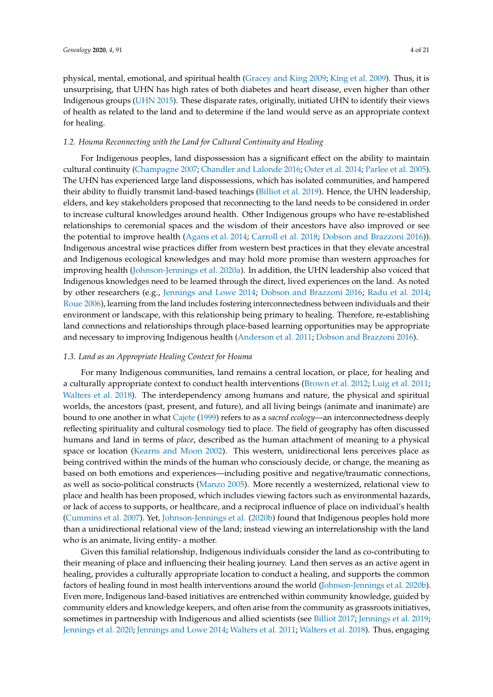physical, mental, emotional, and spiritual health [\(Gracey and King](#page-18-11) [2009;](#page-18-11) [King et al.](#page-19-4) [2009\)](#page-19-4). Thus, it is unsurprising, that UHN has high rates of both diabetes and heart disease, even higher than other Indigenous groups [\(UHN](#page-20-6) [2015\)](#page-20-6). These disparate rates, originally, initiated UHN to identify their views of health as related to the land and to determine if the land would serve as an appropriate context for healing.

## *1.2. Houma Reconnecting with the Land for Cultural Continuity and Healing*

For Indigenous peoples, land dispossession has a significant effect on the ability to maintain cultural continuity [\(Champagne](#page-18-10) [2007;](#page-18-10) [Chandler and Lalonde](#page-18-12) [2016;](#page-18-12) [Oster et al.](#page-19-5) [2014;](#page-19-5) [Parlee et al.](#page-19-6) [2005\)](#page-19-6). The UHN has experienced large land dispossessions, which has isolated communities, and hampered their ability to fluidly transmit land-based teachings [\(Billiot et al.](#page-17-1) [2019\)](#page-17-1). Hence, the UHN leadership, elders, and key stakeholders proposed that reconnecting to the land needs to be considered in order to increase cultural knowledges around health. Other Indigenous groups who have re-established relationships to ceremonial spaces and the wisdom of their ancestors have also improved or see the potential to improve health [\(Agans et al.](#page-17-9) [2014;](#page-17-9) [Carroll et al.](#page-17-10) [2018;](#page-17-10) [Dobson and Brazzoni](#page-18-2) [2016\)](#page-18-2)). Indigenous ancestral wise practices differ from western best practices in that they elevate ancestral and Indigenous ecological knowledges and may hold more promise than western approaches for improving health [\(Johnson-Jennings et al.](#page-18-9) [2020a\)](#page-18-9). In addition, the UHN leadership also voiced that Indigenous knowledges need to be learned through the direct, lived experiences on the land. As noted by other researchers (e.g., [Jennings and Lowe](#page-18-13) [2014;](#page-18-13) [Dobson and Brazzoni](#page-18-2) [2016;](#page-18-2) [Radu et al.](#page-19-7) [2014;](#page-19-7) [Roue](#page-19-8) [2006\)](#page-19-8), learning from the land includes fostering interconnectedness between individuals and their environment or landscape, with this relationship being primary to healing. Therefore, re-establishing land connections and relationships through place-based learning opportunities may be appropriate and necessary to improving Indigenous health [\(Anderson et al.](#page-17-11) [2011;](#page-17-11) [Dobson and Brazzoni](#page-18-2) [2016\)](#page-18-2).

## *1.3. Land as an Appropriate Healing Context for Houma*

For many Indigenous communities, land remains a central location, or place, for healing and a culturally appropriate context to conduct health interventions [\(Brown et al.](#page-17-2) [2012;](#page-17-2) [Luig et al.](#page-19-9) [2011;](#page-19-9) [Walters et al.](#page-20-2) [2018\)](#page-20-2). The interdependency among humans and nature, the physical and spiritual worlds, the ancestors (past, present, and future), and all living beings (animate and inanimate) are bound to one another in what [Cajete](#page-17-3) [\(1999\)](#page-17-3) refers to as a *sacred ecology*—an interconnectedness deeply reflecting spirituality and cultural cosmology tied to place. The field of geography has often discussed humans and land in terms of *place*, described as the human attachment of meaning to a physical space or location [\(Kearns and Moon](#page-19-10) [2002\)](#page-19-10). This western, unidirectional lens perceives place as being contrived within the minds of the human who consciously decide, or change, the meaning as based on both emotions and experiences—including positive and negative/traumatic connections, as well as socio-political constructs [\(Manzo](#page-19-11) [2005\)](#page-19-11). More recently a westernized, relational view to place and health has been proposed, which includes viewing factors such as environmental hazards, or lack of access to supports, or healthcare, and a reciprocal influence of place on individual's health [\(Cummins et al.](#page-18-14) [2007\)](#page-18-14). Yet, [Johnson-Jennings et al.](#page-19-3) [\(2020b\)](#page-19-3) found that Indigenous peoples hold more than a unidirectional relational view of the land; instead viewing an interrelationship with the land who is an animate, living entity- a mother.

Given this familial relationship, Indigenous individuals consider the land as co-contributing to their meaning of place and influencing their healing journey. Land then serves as an active agent in healing, provides a culturally appropriate location to conduct a healing, and supports the common factors of healing found in most health interventions around the world [\(Johnson-Jennings et al.](#page-19-3) [2020b\)](#page-19-3). Even more, Indigenous land-based initiatives are entrenched within community knowledge, guided by community elders and knowledge keepers, and often arise from the community as grassroots initiatives, sometimes in partnership with Indigenous and allied scientists (see [Billiot](#page-17-4) [2017;](#page-17-4) [Jennings et al.](#page-18-7) [2019;](#page-18-7) [Jennings et al.](#page-18-0) [2020;](#page-18-0) [Jennings and Lowe](#page-18-13) [2014;](#page-18-13) [Walters et al.](#page-20-0) [2011;](#page-20-0) [Walters et al.](#page-20-2) [2018\)](#page-20-2). Thus, engaging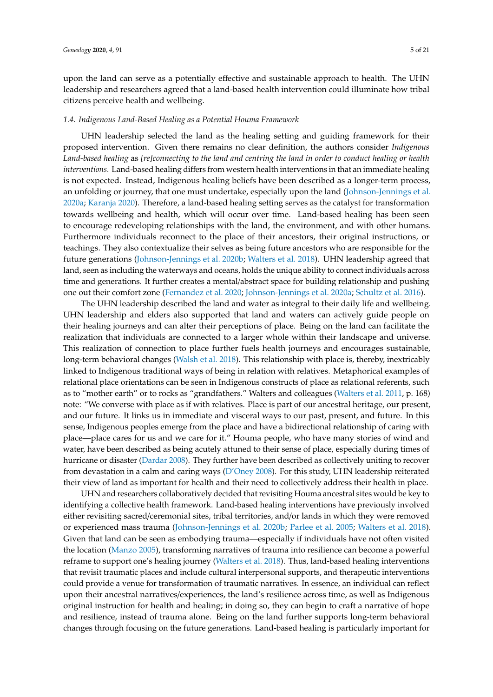upon the land can serve as a potentially effective and sustainable approach to health. The UHN leadership and researchers agreed that a land-based health intervention could illuminate how tribal citizens perceive health and wellbeing.

#### *1.4. Indigenous Land-Based Healing as a Potential Houma Framework*

UHN leadership selected the land as the healing setting and guiding framework for their proposed intervention. Given there remains no clear definition, the authors consider *Indigenous Land-based healing* as *[re]connecting to the land and centring the land in order to conduct healing or health interventions*. Land-based healing differs from western health interventions in that an immediate healing is not expected. Instead, Indigenous healing beliefs have been described as a longer-term process, an unfolding or journey, that one must undertake, especially upon the land [\(Johnson-Jennings et al.](#page-18-9) [2020a;](#page-18-9) [Karanja](#page-19-12) [2020\)](#page-19-12). Therefore, a land-based healing setting serves as the catalyst for transformation towards wellbeing and health, which will occur over time. Land-based healing has been seen to encourage redeveloping relationships with the land, the environment, and with other humans. Furthermore individuals reconnect to the place of their ancestors, their original instructions, or teachings. They also contextualize their selves as being future ancestors who are responsible for the future generations [\(Johnson-Jennings et al.](#page-19-3) [2020b;](#page-19-3) [Walters et al.](#page-20-2) [2018\)](#page-20-2). UHN leadership agreed that land, seen as including the waterways and oceans, holds the unique ability to connect individuals across time and generations. It further creates a mental/abstract space for building relationship and pushing one out their comfort zone [\(Fernandez et al.](#page-18-15) [2020;](#page-18-15) [Johnson-Jennings et al.](#page-18-9) [2020a;](#page-18-9) [Schultz et al.](#page-20-8) [2016\)](#page-20-8).

The UHN leadership described the land and water as integral to their daily life and wellbeing. UHN leadership and elders also supported that land and waters can actively guide people on their healing journeys and can alter their perceptions of place. Being on the land can facilitate the realization that individuals are connected to a larger whole within their landscape and universe. This realization of connection to place further fuels health journeys and encourages sustainable, long-term behavioral changes [\(Walsh et al.](#page-20-9) [2018\)](#page-20-9). This relationship with place is, thereby, inextricably linked to Indigenous traditional ways of being in relation with relatives. Metaphorical examples of relational place orientations can be seen in Indigenous constructs of place as relational referents, such as to "mother earth" or to rocks as "grandfathers." Walters and colleagues [\(Walters et al.](#page-20-0) [2011,](#page-20-0) p. 168) note: "We converse with place as if with relatives. Place is part of our ancestral heritage, our present, and our future. It links us in immediate and visceral ways to our past, present, and future. In this sense, Indigenous peoples emerge from the place and have a bidirectional relationship of caring with place—place cares for us and we care for it." Houma people, who have many stories of wind and water, have been described as being acutely attuned to their sense of place, especially during times of hurricane or disaster [\(Dardar](#page-18-4) [2008\)](#page-18-4). They further have been described as collectively uniting to recover from devastation in a calm and caring ways [\(D'Oney](#page-18-16) [2008\)](#page-18-16). For this study, UHN leadership reiterated their view of land as important for health and their need to collectively address their health in place.

UHN and researchers collaboratively decided that revisiting Houma ancestral sites would be key to identifying a collective health framework. Land-based healing interventions have previously involved either revisiting sacred/ceremonial sites, tribal territories, and/or lands in which they were removed or experienced mass trauma [\(Johnson-Jennings et al.](#page-19-3) [2020b;](#page-19-3) [Parlee et al.](#page-19-6) [2005;](#page-19-6) [Walters et al.](#page-20-2) [2018\)](#page-20-2). Given that land can be seen as embodying trauma—especially if individuals have not often visited the location [\(Manzo](#page-19-11) [2005\)](#page-19-11), transforming narratives of trauma into resilience can become a powerful reframe to support one's healing journey [\(Walters et al.](#page-20-2) [2018\)](#page-20-2). Thus, land-based healing interventions that revisit traumatic places and include cultural interpersonal supports, and therapeutic interventions could provide a venue for transformation of traumatic narratives. In essence, an individual can reflect upon their ancestral narratives/experiences, the land's resilience across time, as well as Indigenous original instruction for health and healing; in doing so, they can begin to craft a narrative of hope and resilience, instead of trauma alone. Being on the land further supports long-term behavioral changes through focusing on the future generations. Land-based healing is particularly important for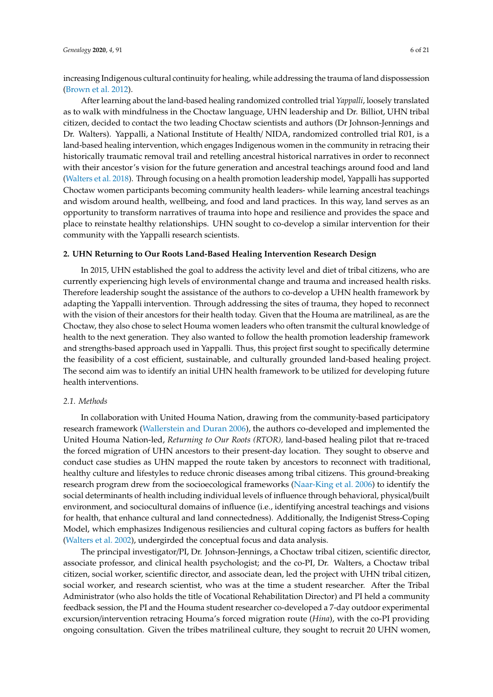increasing Indigenous cultural continuity for healing, while addressing the trauma of land dispossession [\(Brown et al.](#page-17-2) [2012\)](#page-17-2).

After learning about the land-based healing randomized controlled trial *Yappalli*, loosely translated as to walk with mindfulness in the Choctaw language, UHN leadership and Dr. Billiot, UHN tribal citizen, decided to contact the two leading Choctaw scientists and authors (Dr Johnson-Jennings and Dr. Walters). Yappalli, a National Institute of Health/ NIDA, randomized controlled trial R01, is a land-based healing intervention, which engages Indigenous women in the community in retracing their historically traumatic removal trail and retelling ancestral historical narratives in order to reconnect with their ancestor's vision for the future generation and ancestral teachings around food and land [\(Walters et al.](#page-20-2) [2018\)](#page-20-2). Through focusing on a health promotion leadership model, Yappalli has supported Choctaw women participants becoming community health leaders- while learning ancestral teachings and wisdom around health, wellbeing, and food and land practices. In this way, land serves as an opportunity to transform narratives of trauma into hope and resilience and provides the space and place to reinstate healthy relationships. UHN sought to co-develop a similar intervention for their community with the Yappalli research scientists.

#### **2. UHN Returning to Our Roots Land-Based Healing Intervention Research Design**

In 2015, UHN established the goal to address the activity level and diet of tribal citizens, who are currently experiencing high levels of environmental change and trauma and increased health risks. Therefore leadership sought the assistance of the authors to co-develop a UHN health framework by adapting the Yappalli intervention. Through addressing the sites of trauma, they hoped to reconnect with the vision of their ancestors for their health today. Given that the Houma are matrilineal, as are the Choctaw, they also chose to select Houma women leaders who often transmit the cultural knowledge of health to the next generation. They also wanted to follow the health promotion leadership framework and strengths-based approach used in Yappalli. Thus, this project first sought to specifically determine the feasibility of a cost efficient, sustainable, and culturally grounded land-based healing project. The second aim was to identify an initial UHN health framework to be utilized for developing future health interventions.

#### *2.1. Methods*

In collaboration with United Houma Nation, drawing from the community-based participatory research framework [\(Wallerstein and Duran](#page-20-10) [2006\)](#page-20-10), the authors co-developed and implemented the United Houma Nation-led, *Returning to Our Roots (RTOR),* land-based healing pilot that re-traced the forced migration of UHN ancestors to their present-day location. They sought to observe and conduct case studies as UHN mapped the route taken by ancestors to reconnect with traditional, healthy culture and lifestyles to reduce chronic diseases among tribal citizens. This ground-breaking research program drew from the socioecological frameworks [\(Naar-King et al.](#page-19-13) [2006\)](#page-19-13) to identify the social determinants of health including individual levels of influence through behavioral, physical/built environment, and sociocultural domains of influence (i.e., identifying ancestral teachings and visions for health, that enhance cultural and land connectedness). Additionally, the Indigenist Stress-Coping Model, which emphasizes Indigenous resiliencies and cultural coping factors as buffers for health [\(Walters et al.](#page-20-11) [2002\)](#page-20-11), undergirded the conceptual focus and data analysis.

The principal investigator/PI, Dr. Johnson-Jennings, a Choctaw tribal citizen, scientific director, associate professor, and clinical health psychologist; and the co-PI, Dr. Walters, a Choctaw tribal citizen, social worker, scientific director, and associate dean, led the project with UHN tribal citizen, social worker, and research scientist, who was at the time a student researcher. After the Tribal Administrator (who also holds the title of Vocational Rehabilitation Director) and PI held a community feedback session, the PI and the Houma student researcher co-developed a 7-day outdoor experimental excursion/intervention retracing Houma's forced migration route (*Hina*), with the co-PI providing ongoing consultation. Given the tribes matrilineal culture, they sought to recruit 20 UHN women,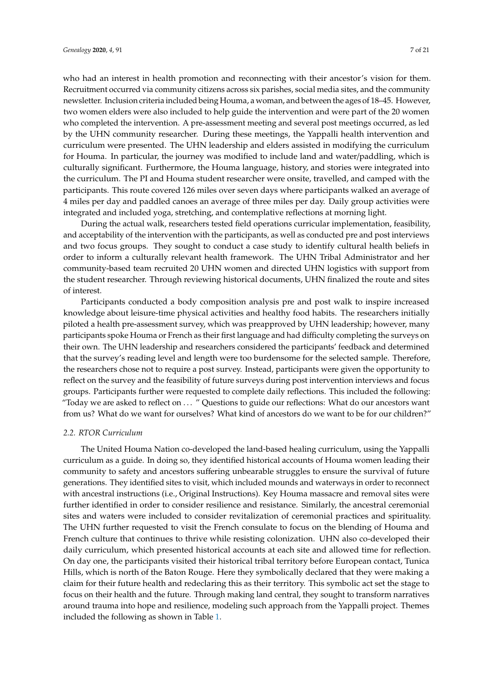who had an interest in health promotion and reconnecting with their ancestor's vision for them. Recruitment occurred via community citizens across six parishes, social media sites, and the community newsletter. Inclusion criteria included being Houma, a woman, and between the ages of 18–45. However, two women elders were also included to help guide the intervention and were part of the 20 women who completed the intervention. A pre-assessment meeting and several post meetings occurred, as led by the UHN community researcher. During these meetings, the Yappalli health intervention and curriculum were presented. The UHN leadership and elders assisted in modifying the curriculum for Houma. In particular, the journey was modified to include land and water/paddling, which is culturally significant. Furthermore, the Houma language, history, and stories were integrated into the curriculum. The PI and Houma student researcher were onsite, travelled, and camped with the participants. This route covered 126 miles over seven days where participants walked an average of 4 miles per day and paddled canoes an average of three miles per day. Daily group activities were integrated and included yoga, stretching, and contemplative reflections at morning light.

During the actual walk, researchers tested field operations curricular implementation, feasibility, and acceptability of the intervention with the participants, as well as conducted pre and post interviews and two focus groups. They sought to conduct a case study to identify cultural health beliefs in order to inform a culturally relevant health framework. The UHN Tribal Administrator and her community-based team recruited 20 UHN women and directed UHN logistics with support from the student researcher. Through reviewing historical documents, UHN finalized the route and sites of interest.

Participants conducted a body composition analysis pre and post walk to inspire increased knowledge about leisure-time physical activities and healthy food habits. The researchers initially piloted a health pre-assessment survey, which was preapproved by UHN leadership; however, many participants spoke Houma or French as their first language and had difficulty completing the surveys on their own. The UHN leadership and researchers considered the participants' feedback and determined that the survey's reading level and length were too burdensome for the selected sample. Therefore, the researchers chose not to require a post survey. Instead, participants were given the opportunity to reflect on the survey and the feasibility of future surveys during post intervention interviews and focus groups. Participants further were requested to complete daily reflections. This included the following: "Today we are asked to reflect on ... " Questions to guide our reflections: What do our ancestors want from us? What do we want for ourselves? What kind of ancestors do we want to be for our children?"

## *2.2. RTOR Curriculum*

The United Houma Nation co-developed the land-based healing curriculum, using the Yappalli curriculum as a guide. In doing so, they identified historical accounts of Houma women leading their community to safety and ancestors suffering unbearable struggles to ensure the survival of future generations. They identified sites to visit, which included mounds and waterways in order to reconnect with ancestral instructions (i.e., Original Instructions). Key Houma massacre and removal sites were further identified in order to consider resilience and resistance. Similarly, the ancestral ceremonial sites and waters were included to consider revitalization of ceremonial practices and spirituality. The UHN further requested to visit the French consulate to focus on the blending of Houma and French culture that continues to thrive while resisting colonization. UHN also co-developed their daily curriculum, which presented historical accounts at each site and allowed time for reflection. On day one, the participants visited their historical tribal territory before European contact, Tunica Hills, which is north of the Baton Rouge. Here they symbolically declared that they were making a claim for their future health and redeclaring this as their territory. This symbolic act set the stage to focus on their health and the future. Through making land central, they sought to transform narratives around trauma into hope and resilience, modeling such approach from the Yappalli project. Themes included the following as shown in Table [1.](#page-7-0)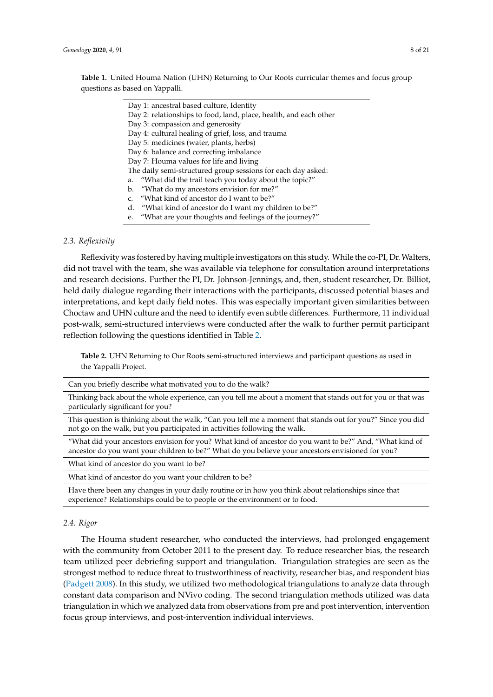<span id="page-7-0"></span>

| Day 1: ancestral based culture, Identity                          |
|-------------------------------------------------------------------|
| Day 2: relationships to food, land, place, health, and each other |
| Day 3: compassion and generosity                                  |
| Day 4: cultural healing of grief, loss, and trauma                |
| Day 5: medicines (water, plants, herbs)                           |
| Day 6: balance and correcting imbalance                           |
| Day 7: Houma values for life and living                           |
| The daily semi-structured group sessions for each day asked:      |
| a. "What did the trail teach you today about the topic?"          |
| b. "What do my ancestors envision for me?"                        |
| c. "What kind of ancestor do I want to be?"                       |
| d. "What kind of ancestor do I want my children to be?"           |
| e. "What are your thoughts and feelings of the journey?"          |

## *2.3. Reflexivity*

Reflexivity was fostered by having multiple investigators on this study. While the co-PI, Dr. Walters, did not travel with the team, she was available via telephone for consultation around interpretations and research decisions. Further the PI, Dr. Johnson-Jennings, and, then, student researcher, Dr. Billiot, held daily dialogue regarding their interactions with the participants, discussed potential biases and interpretations, and kept daily field notes. This was especially important given similarities between Choctaw and UHN culture and the need to identify even subtle differences. Furthermore, 11 individual post-walk, semi-structured interviews were conducted after the walk to further permit participant reflection following the questions identified in Table [2.](#page-7-1)

<span id="page-7-1"></span>**Table 2.** UHN Returning to Our Roots semi-structured interviews and participant questions as used in the Yappalli Project.

Can you briefly describe what motivated you to do the walk?

Thinking back about the whole experience, can you tell me about a moment that stands out for you or that was particularly significant for you?

This question is thinking about the walk, "Can you tell me a moment that stands out for you?" Since you did not go on the walk, but you participated in activities following the walk.

"What did your ancestors envision for you? What kind of ancestor do you want to be?" And, "What kind of ancestor do you want your children to be?" What do you believe your ancestors envisioned for you?

What kind of ancestor do you want to be?

What kind of ancestor do you want your children to be?

Have there been any changes in your daily routine or in how you think about relationships since that experience? Relationships could be to people or the environment or to food.

#### *2.4. Rigor*

The Houma student researcher, who conducted the interviews, had prolonged engagement with the community from October 2011 to the present day. To reduce researcher bias, the research team utilized peer debriefing support and triangulation. Triangulation strategies are seen as the strongest method to reduce threat to trustworthiness of reactivity, researcher bias, and respondent bias [\(Padgett](#page-19-14) [2008\)](#page-19-14). In this study, we utilized two methodological triangulations to analyze data through constant data comparison and NVivo coding. The second triangulation methods utilized was data triangulation in which we analyzed data from observations from pre and post intervention, intervention focus group interviews, and post-intervention individual interviews.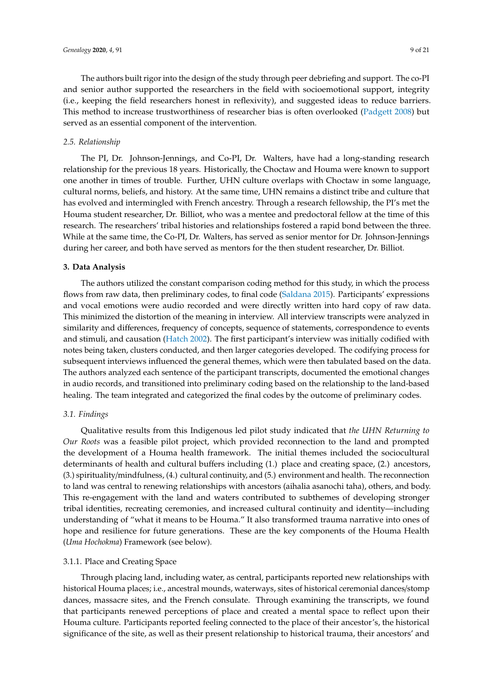The authors built rigor into the design of the study through peer debriefing and support. The co-PI and senior author supported the researchers in the field with socioemotional support, integrity (i.e., keeping the field researchers honest in reflexivity), and suggested ideas to reduce barriers. This method to increase trustworthiness of researcher bias is often overlooked [\(Padgett](#page-19-14) [2008\)](#page-19-14) but served as an essential component of the intervention.

#### *2.5. Relationship*

The PI, Dr. Johnson-Jennings, and Co-PI, Dr. Walters, have had a long-standing research relationship for the previous 18 years. Historically, the Choctaw and Houma were known to support one another in times of trouble. Further, UHN culture overlaps with Choctaw in some language, cultural norms, beliefs, and history. At the same time, UHN remains a distinct tribe and culture that has evolved and intermingled with French ancestry. Through a research fellowship, the PI's met the Houma student researcher, Dr. Billiot, who was a mentee and predoctoral fellow at the time of this research. The researchers' tribal histories and relationships fostered a rapid bond between the three. While at the same time, the Co-PI, Dr. Walters, has served as senior mentor for Dr. Johnson-Jennings during her career, and both have served as mentors for the then student researcher, Dr. Billiot.

#### **3. Data Analysis**

The authors utilized the constant comparison coding method for this study, in which the process flows from raw data, then preliminary codes, to final code [\(Saldana](#page-19-15) [2015\)](#page-19-15). Participants' expressions and vocal emotions were audio recorded and were directly written into hard copy of raw data. This minimized the distortion of the meaning in interview. All interview transcripts were analyzed in similarity and differences, frequency of concepts, sequence of statements, correspondence to events and stimuli, and causation [\(Hatch](#page-18-17) [2002\)](#page-18-17). The first participant's interview was initially codified with notes being taken, clusters conducted, and then larger categories developed. The codifying process for subsequent interviews influenced the general themes, which were then tabulated based on the data. The authors analyzed each sentence of the participant transcripts, documented the emotional changes in audio records, and transitioned into preliminary coding based on the relationship to the land-based healing. The team integrated and categorized the final codes by the outcome of preliminary codes.

#### *3.1. Findings*

Qualitative results from this Indigenous led pilot study indicated that *the UHN Returning to Our Roots* was a feasible pilot project, which provided reconnection to the land and prompted the development of a Houma health framework. The initial themes included the sociocultural determinants of health and cultural buffers including (1.) place and creating space, (2.) ancestors, (3.) spirituality/mindfulness, (4.) cultural continuity, and (5.) environment and health. The reconnection to land was central to renewing relationships with ancestors (aihalia asanochi taha), others, and body. This re-engagement with the land and waters contributed to subthemes of developing stronger tribal identities, recreating ceremonies, and increased cultural continuity and identity—including understanding of "what it means to be Houma." It also transformed trauma narrative into ones of hope and resilience for future generations. These are the key components of the Houma Health (*Uma Hochokma*) Framework (see below).

#### 3.1.1. Place and Creating Space

Through placing land, including water, as central, participants reported new relationships with historical Houma places; i.e., ancestral mounds, waterways, sites of historical ceremonial dances/stomp dances, massacre sites, and the French consulate. Through examining the transcripts, we found that participants renewed perceptions of place and created a mental space to reflect upon their Houma culture. Participants reported feeling connected to the place of their ancestor's, the historical significance of the site, as well as their present relationship to historical trauma, their ancestors' and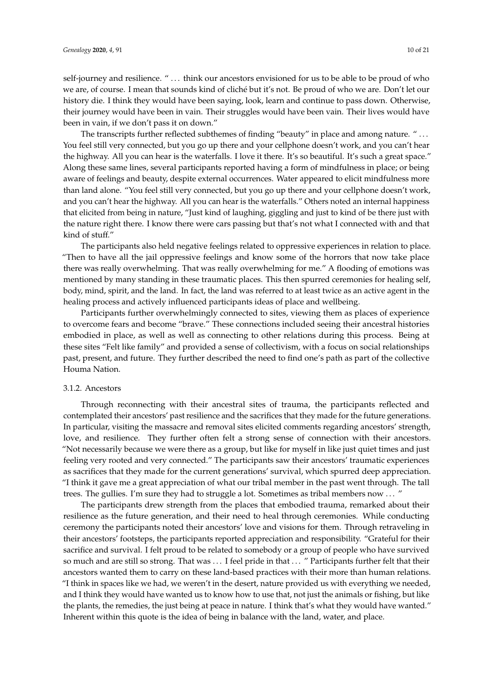self-journey and resilience. " ... think our ancestors envisioned for us to be able to be proud of who we are, of course. I mean that sounds kind of cliché but it's not. Be proud of who we are. Don't let our history die. I think they would have been saying, look, learn and continue to pass down. Otherwise, their journey would have been in vain. Their struggles would have been vain. Their lives would have been in vain, if we don't pass it on down."

The transcripts further reflected subthemes of finding "beauty" in place and among nature. " . . . You feel still very connected, but you go up there and your cellphone doesn't work, and you can't hear the highway. All you can hear is the waterfalls. I love it there. It's so beautiful. It's such a great space." Along these same lines, several participants reported having a form of mindfulness in place; or being aware of feelings and beauty, despite external occurrences. Water appeared to elicit mindfulness more than land alone. "You feel still very connected, but you go up there and your cellphone doesn't work, and you can't hear the highway. All you can hear is the waterfalls." Others noted an internal happiness that elicited from being in nature, "Just kind of laughing, giggling and just to kind of be there just with the nature right there. I know there were cars passing but that's not what I connected with and that kind of stuff."

The participants also held negative feelings related to oppressive experiences in relation to place. "Then to have all the jail oppressive feelings and know some of the horrors that now take place there was really overwhelming. That was really overwhelming for me." A flooding of emotions was mentioned by many standing in these traumatic places. This then spurred ceremonies for healing self, body, mind, spirit, and the land. In fact, the land was referred to at least twice as an active agent in the healing process and actively influenced participants ideas of place and wellbeing.

Participants further overwhelmingly connected to sites, viewing them as places of experience to overcome fears and become "brave." These connections included seeing their ancestral histories embodied in place, as well as well as connecting to other relations during this process. Being at these sites "Felt like family" and provided a sense of collectivism, with a focus on social relationships past, present, and future. They further described the need to find one's path as part of the collective Houma Nation.

#### 3.1.2. Ancestors

Through reconnecting with their ancestral sites of trauma, the participants reflected and contemplated their ancestors' past resilience and the sacrifices that they made for the future generations. In particular, visiting the massacre and removal sites elicited comments regarding ancestors' strength, love, and resilience. They further often felt a strong sense of connection with their ancestors. "Not necessarily because we were there as a group, but like for myself in like just quiet times and just feeling very rooted and very connected." The participants saw their ancestors' traumatic experiences as sacrifices that they made for the current generations' survival, which spurred deep appreciation. "I think it gave me a great appreciation of what our tribal member in the past went through. The tall trees. The gullies. I'm sure they had to struggle a lot. Sometimes as tribal members now . . . "

The participants drew strength from the places that embodied trauma, remarked about their resilience as the future generation, and their need to heal through ceremonies. While conducting ceremony the participants noted their ancestors' love and visions for them. Through retraveling in their ancestors' footsteps, the participants reported appreciation and responsibility. "Grateful for their sacrifice and survival. I felt proud to be related to somebody or a group of people who have survived so much and are still so strong. That was ... I feel pride in that ... " Participants further felt that their ancestors wanted them to carry on these land-based practices with their more than human relations. "I think in spaces like we had, we weren't in the desert, nature provided us with everything we needed, and I think they would have wanted us to know how to use that, not just the animals or fishing, but like the plants, the remedies, the just being at peace in nature. I think that's what they would have wanted." Inherent within this quote is the idea of being in balance with the land, water, and place.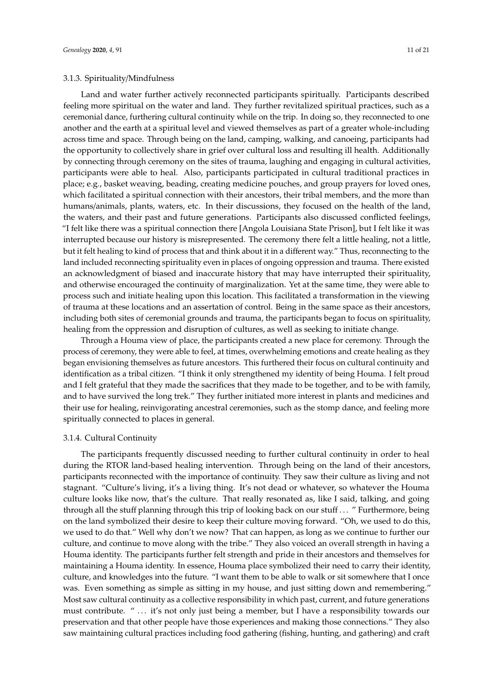Land and water further actively reconnected participants spiritually. Participants described feeling more spiritual on the water and land. They further revitalized spiritual practices, such as a ceremonial dance, furthering cultural continuity while on the trip. In doing so, they reconnected to one another and the earth at a spiritual level and viewed themselves as part of a greater whole-including across time and space. Through being on the land, camping, walking, and canoeing, participants had the opportunity to collectively share in grief over cultural loss and resulting ill health. Additionally by connecting through ceremony on the sites of trauma, laughing and engaging in cultural activities, participants were able to heal. Also, participants participated in cultural traditional practices in place; e.g., basket weaving, beading, creating medicine pouches, and group prayers for loved ones, which facilitated a spiritual connection with their ancestors, their tribal members, and the more than humans/animals, plants, waters, etc. In their discussions, they focused on the health of the land, the waters, and their past and future generations. Participants also discussed conflicted feelings, "I felt like there was a spiritual connection there [Angola Louisiana State Prison], but I felt like it was interrupted because our history is misrepresented. The ceremony there felt a little healing, not a little, but it felt healing to kind of process that and think about it in a different way." Thus, reconnecting to the land included reconnecting spirituality even in places of ongoing oppression and trauma. There existed an acknowledgment of biased and inaccurate history that may have interrupted their spirituality, and otherwise encouraged the continuity of marginalization. Yet at the same time, they were able to process such and initiate healing upon this location. This facilitated a transformation in the viewing of trauma at these locations and an assertation of control. Being in the same space as their ancestors, including both sites of ceremonial grounds and trauma, the participants began to focus on spirituality, healing from the oppression and disruption of cultures, as well as seeking to initiate change.

Through a Houma view of place, the participants created a new place for ceremony. Through the process of ceremony, they were able to feel, at times, overwhelming emotions and create healing as they began envisioning themselves as future ancestors. This furthered their focus on cultural continuity and identification as a tribal citizen. "I think it only strengthened my identity of being Houma. I felt proud and I felt grateful that they made the sacrifices that they made to be together, and to be with family, and to have survived the long trek." They further initiated more interest in plants and medicines and their use for healing, reinvigorating ancestral ceremonies, such as the stomp dance, and feeling more spiritually connected to places in general.

#### 3.1.4. Cultural Continuity

The participants frequently discussed needing to further cultural continuity in order to heal during the RTOR land-based healing intervention. Through being on the land of their ancestors, participants reconnected with the importance of continuity. They saw their culture as living and not stagnant. "Culture's living, it's a living thing. It's not dead or whatever, so whatever the Houma culture looks like now, that's the culture. That really resonated as, like I said, talking, and going through all the stuff planning through this trip of looking back on our stuff . . . " Furthermore, being on the land symbolized their desire to keep their culture moving forward. "Oh, we used to do this, we used to do that." Well why don't we now? That can happen, as long as we continue to further our culture, and continue to move along with the tribe." They also voiced an overall strength in having a Houma identity. The participants further felt strength and pride in their ancestors and themselves for maintaining a Houma identity. In essence, Houma place symbolized their need to carry their identity, culture, and knowledges into the future. "I want them to be able to walk or sit somewhere that I once was. Even something as simple as sitting in my house, and just sitting down and remembering." Most saw cultural continuity as a collective responsibility in which past, current, and future generations must contribute. " ... it's not only just being a member, but I have a responsibility towards our preservation and that other people have those experiences and making those connections." They also saw maintaining cultural practices including food gathering (fishing, hunting, and gathering) and craft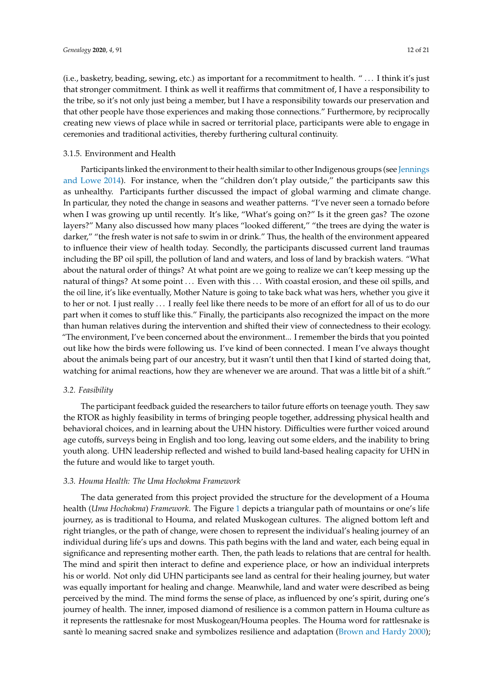(i.e., basketry, beading, sewing, etc.) as important for a recommitment to health. " . . . I think it's just that stronger commitment. I think as well it reaffirms that commitment of, I have a responsibility to the tribe, so it's not only just being a member, but I have a responsibility towards our preservation and that other people have those experiences and making those connections." Furthermore, by reciprocally creating new views of place while in sacred or territorial place, participants were able to engage in ceremonies and traditional activities, thereby furthering cultural continuity.

#### 3.1.5. Environment and Health

Participants linked the environment to their health similar to other Indigenous groups (see [Jennings](#page-18-13) [and Lowe](#page-18-13) [2014\)](#page-18-13). For instance, when the "children don't play outside," the participants saw this as unhealthy. Participants further discussed the impact of global warming and climate change. In particular, they noted the change in seasons and weather patterns. "I've never seen a tornado before when I was growing up until recently. It's like, "What's going on?" Is it the green gas? The ozone layers?" Many also discussed how many places "looked different," "the trees are dying the water is darker," "the fresh water is not safe to swim in or drink." Thus, the health of the environment appeared to influence their view of health today. Secondly, the participants discussed current land traumas including the BP oil spill, the pollution of land and waters, and loss of land by brackish waters. "What about the natural order of things? At what point are we going to realize we can't keep messing up the natural of things? At some point ... Even with this ... With coastal erosion, and these oil spills, and the oil line, it's like eventually, Mother Nature is going to take back what was hers, whether you give it to her or not. I just really . . . I really feel like there needs to be more of an effort for all of us to do our part when it comes to stuff like this." Finally, the participants also recognized the impact on the more than human relatives during the intervention and shifted their view of connectedness to their ecology. "The environment, I've been concerned about the environment... I remember the birds that you pointed out like how the birds were following us. I've kind of been connected. I mean I've always thought about the animals being part of our ancestry, but it wasn't until then that I kind of started doing that, watching for animal reactions, how they are whenever we are around. That was a little bit of a shift."

#### *3.2. Feasibility*

The participant feedback guided the researchers to tailor future efforts on teenage youth. They saw the RTOR as highly feasibility in terms of bringing people together, addressing physical health and behavioral choices, and in learning about the UHN history. Difficulties were further voiced around age cutoffs, surveys being in English and too long, leaving out some elders, and the inability to bring youth along. UHN leadership reflected and wished to build land-based healing capacity for UHN in the future and would like to target youth.

#### *3.3. Houma Health: The Uma Hochokma Framework*

The data generated from this project provided the structure for the development of a Houma health (*Uma Hochokma*) *Framework*. The Figure [1](#page-12-0) depicts a triangular path of mountains or one's life journey, as is traditional to Houma, and related Muskogean cultures. The aligned bottom left and right triangles, or the path of change, were chosen to represent the individual's healing journey of an individual during life's ups and downs. This path begins with the land and water, each being equal in significance and representing mother earth. Then, the path leads to relations that are central for health. The mind and spirit then interact to define and experience place, or how an individual interprets his or world. Not only did UHN participants see land as central for their healing journey, but water was equally important for healing and change. Meanwhile, land and water were described as being perceived by the mind. The mind forms the sense of place, as influenced by one's spirit, during one's journey of health. The inner, imposed diamond of resilience is a common pattern in Houma culture as it represents the rattlesnake for most Muskogean/Houma peoples. The Houma word for rattlesnake is santè lo meaning sacred snake and symbolizes resilience and adaptation [\(Brown and Hardy](#page-17-12) [2000\)](#page-17-12);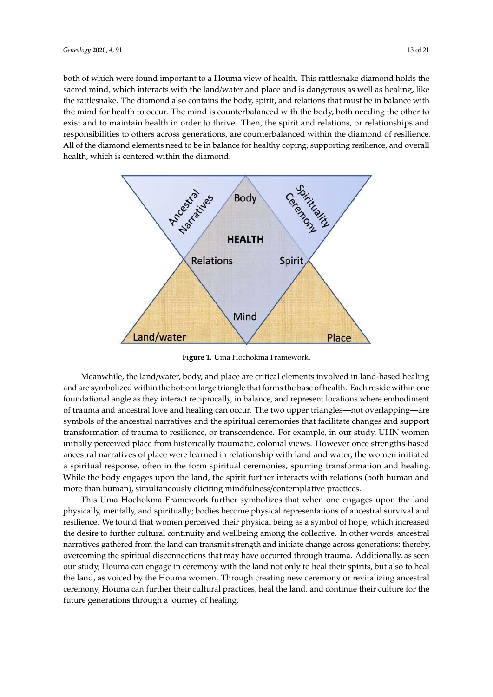both of which were found important to a Houma view of health. This rattlesnake diamond holds the sacred mind, which interacts with the land/water and place and is dangerous as well as healing, like the rattlesnake. The diamond also contains the body, spirit, and relations that must be in balance with the mind for health to occur. The mind is counterbalanced with the body, both needing the other to exist and to maintain health in order to thrive. Then, the spirit and relations, or relationships and responsibilities to others across generations, are counterbalanced within the diamond of resilience. All of the diamond elements need to be in balance for healthy coping, supporting resilience, and overall health, which is centered within the diamond.

<span id="page-12-0"></span>

**Figure 1.** Uma Hochokma Framework.

and are symbolized within the bottom large triangle that forms the base of health. Each reside within one foundational angle as they interact reciprocally, in balance, and represent locations where embodiment of trauma and ancestral love and healing can occur. The two upper triangles—not overlapping—are symbols of the ancestral narratives and the spiritual ceremonies that facilitate changes and support  $\overline{t}$  transformation of trauma to resilience, or transcendence. For example, in our study, UHN women initially perceived place from historically traumatic, colonial views. However once strengths-based ancestral narratives of place were learned in relationship with land and water, the women initiated a spiritual response, often in the form spiritual ceremonies, spurring transformation and healing. While the body engages upon the land, the spirit further interacts with relations (both human and more than human), simultaneously eliciting mindfulness/contemplative practices. Meanwhile, the land/water, body, and place are critical elements involved in land-based healing

This Uma Hochokma Framework further symbolizes that when one engages upon the land physically, mentally, and spiritually; bodies become physical representations of ancestral survival and resilience. We found that women perceived their physical being as a symbol of hope, which increased the desire to further cultural continuity and wellbeing among the collective. In other words, ancestral narratives gathered from the land can transmit strength and initiate change across generations; thereby, overcoming the spiritual disconnections that may have occurred through trauma. Additionally, as seen our study, Houma can engage in ceremony with the land not only to heal their spirits, but also to heal the land, as voiced by the Houma women. Through creating new ceremony or revitalizing ancestral ceremony, Houma can further their cultural practices, heal the land, and continue their culture for the future generations through a journey of healing.  $\overline{c}$  review, Houma can further the interview, heal their cultural practices, heal their cultural practices, heal the interview of the interview of the interview of the interview of the interview of the interview of th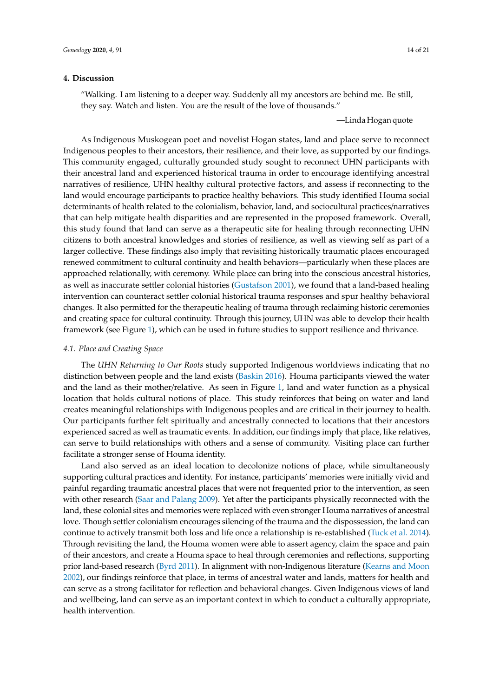## **4. Discussion**

"Walking. I am listening to a deeper way. Suddenly all my ancestors are behind me. Be still, they say. Watch and listen. You are the result of the love of thousands."

—Linda Hogan quote

As Indigenous Muskogean poet and novelist Hogan states, land and place serve to reconnect Indigenous peoples to their ancestors, their resilience, and their love, as supported by our findings. This community engaged, culturally grounded study sought to reconnect UHN participants with their ancestral land and experienced historical trauma in order to encourage identifying ancestral narratives of resilience, UHN healthy cultural protective factors, and assess if reconnecting to the land would encourage participants to practice healthy behaviors. This study identified Houma social determinants of health related to the colonialism, behavior, land, and sociocultural practices/narratives that can help mitigate health disparities and are represented in the proposed framework. Overall, this study found that land can serve as a therapeutic site for healing through reconnecting UHN citizens to both ancestral knowledges and stories of resilience, as well as viewing self as part of a larger collective. These findings also imply that revisiting historically traumatic places encouraged renewed commitment to cultural continuity and health behaviors—particularly when these places are approached relationally, with ceremony. While place can bring into the conscious ancestral histories, as well as inaccurate settler colonial histories [\(Gustafson](#page-18-18) [2001\)](#page-18-18), we found that a land-based healing intervention can counteract settler colonial historical trauma responses and spur healthy behavioral changes. It also permitted for the therapeutic healing of trauma through reclaiming historic ceremonies and creating space for cultural continuity. Through this journey, UHN was able to develop their health framework (see Figure [1\)](#page-12-0), which can be used in future studies to support resilience and thrivance.

#### *4.1. Place and Creating Space*

The *UHN Returning to Our Roots* study supported Indigenous worldviews indicating that no distinction between people and the land exists [\(Baskin](#page-17-0) [2016\)](#page-17-0). Houma participants viewed the water and the land as their mother/relative. As seen in Figure [1,](#page-12-0) land and water function as a physical location that holds cultural notions of place. This study reinforces that being on water and land creates meaningful relationships with Indigenous peoples and are critical in their journey to health. Our participants further felt spiritually and ancestrally connected to locations that their ancestors experienced sacred as well as traumatic events. In addition, our findings imply that place, like relatives, can serve to build relationships with others and a sense of community. Visiting place can further facilitate a stronger sense of Houma identity.

Land also served as an ideal location to decolonize notions of place, while simultaneously supporting cultural practices and identity. For instance, participants' memories were initially vivid and painful regarding traumatic ancestral places that were not frequented prior to the intervention, as seen with other research [\(Saar and Palang](#page-19-16) [2009\)](#page-19-16). Yet after the participants physically reconnected with the land, these colonial sites and memories were replaced with even stronger Houma narratives of ancestral love. Though settler colonialism encourages silencing of the trauma and the dispossession, the land can continue to actively transmit both loss and life once a relationship is re-established [\(Tuck et al.](#page-20-12) [2014\)](#page-20-12). Through revisiting the land, the Houma women were able to assert agency, claim the space and pain of their ancestors, and create a Houma space to heal through ceremonies and reflections, supporting prior land-based research [\(Byrd](#page-17-13) [2011\)](#page-17-13). In alignment with non-Indigenous literature [\(Kearns and Moon](#page-19-10) [2002\)](#page-19-10), our findings reinforce that place, in terms of ancestral water and lands, matters for health and can serve as a strong facilitator for reflection and behavioral changes. Given Indigenous views of land and wellbeing, land can serve as an important context in which to conduct a culturally appropriate, health intervention.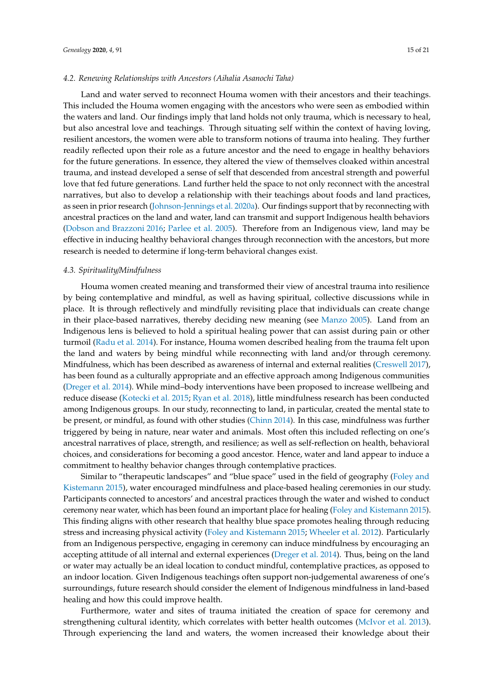#### *4.2. Renewing Relationships with Ancestors (Aihalia Asanochi Taha)*

Land and water served to reconnect Houma women with their ancestors and their teachings. This included the Houma women engaging with the ancestors who were seen as embodied within the waters and land. Our findings imply that land holds not only trauma, which is necessary to heal, but also ancestral love and teachings. Through situating self within the context of having loving, resilient ancestors, the women were able to transform notions of trauma into healing. They further readily reflected upon their role as a future ancestor and the need to engage in healthy behaviors for the future generations. In essence, they altered the view of themselves cloaked within ancestral trauma, and instead developed a sense of self that descended from ancestral strength and powerful love that fed future generations. Land further held the space to not only reconnect with the ancestral narratives, but also to develop a relationship with their teachings about foods and land practices, as seen in prior research [\(Johnson-Jennings et al.](#page-18-9) [2020a\)](#page-18-9). Our findings support that by reconnecting with ancestral practices on the land and water, land can transmit and support Indigenous health behaviors [\(Dobson and Brazzoni](#page-18-2) [2016;](#page-18-2) [Parlee et al.](#page-19-6) [2005\)](#page-19-6). Therefore from an Indigenous view, land may be effective in inducing healthy behavioral changes through reconnection with the ancestors, but more research is needed to determine if long-term behavioral changes exist.

#### *4.3. Spirituality*/*Mindfulness*

Houma women created meaning and transformed their view of ancestral trauma into resilience by being contemplative and mindful, as well as having spiritual, collective discussions while in place. It is through reflectively and mindfully revisiting place that individuals can create change in their place-based narratives, thereby deciding new meaning (see [Manzo](#page-19-11) [2005\)](#page-19-11). Land from an Indigenous lens is believed to hold a spiritual healing power that can assist during pain or other turmoil [\(Radu et al.](#page-19-7) [2014\)](#page-19-7). For instance, Houma women described healing from the trauma felt upon the land and waters by being mindful while reconnecting with land and/or through ceremony. Mindfulness, which has been described as awareness of internal and external realities [\(Creswell](#page-18-19) [2017\)](#page-18-19), has been found as a culturally appropriate and an effective approach among Indigenous communities [\(Dreger et al.](#page-18-20) [2014\)](#page-18-20). While mind–body interventions have been proposed to increase wellbeing and reduce disease [\(Kotecki et al.](#page-19-17) [2015;](#page-19-17) [Ryan et al.](#page-19-18) [2018\)](#page-19-18), little mindfulness research has been conducted among Indigenous groups. In our study, reconnecting to land, in particular, created the mental state to be present, or mindful, as found with other studies [\(Chinn](#page-18-21) [2014\)](#page-18-21). In this case, mindfulness was further triggered by being in nature, near water and animals. Most often this included reflecting on one's ancestral narratives of place, strength, and resilience; as well as self-reflection on health, behavioral choices, and considerations for becoming a good ancestor. Hence, water and land appear to induce a commitment to healthy behavior changes through contemplative practices.

Similar to "therapeutic landscapes" and "blue space" used in the field of geography [\(Foley and](#page-18-22) [Kistemann](#page-18-22) [2015\)](#page-18-22), water encouraged mindfulness and place-based healing ceremonies in our study. Participants connected to ancestors' and ancestral practices through the water and wished to conduct ceremony near water, which has been found an important place for healing [\(Foley and Kistemann](#page-18-22) [2015\)](#page-18-22). This finding aligns with other research that healthy blue space promotes healing through reducing stress and increasing physical activity [\(Foley and Kistemann](#page-18-22) [2015;](#page-18-22) [Wheeler et al.](#page-20-13) [2012\)](#page-20-13). Particularly from an Indigenous perspective, engaging in ceremony can induce mindfulness by encouraging an accepting attitude of all internal and external experiences [\(Dreger et al.](#page-18-20) [2014\)](#page-18-20). Thus, being on the land or water may actually be an ideal location to conduct mindful, contemplative practices, as opposed to an indoor location. Given Indigenous teachings often support non-judgemental awareness of one's surroundings, future research should consider the element of Indigenous mindfulness in land-based healing and how this could improve health.

Furthermore, water and sites of trauma initiated the creation of space for ceremony and strengthening cultural identity, which correlates with better health outcomes [\(McIvor et al.](#page-19-19) [2013\)](#page-19-19). Through experiencing the land and waters, the women increased their knowledge about their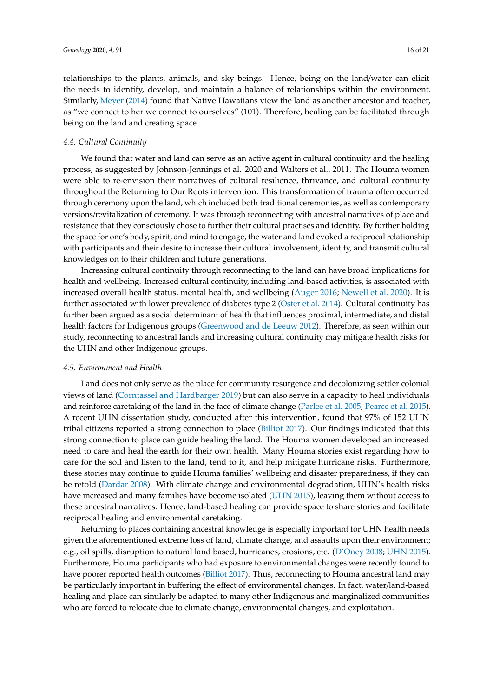relationships to the plants, animals, and sky beings. Hence, being on the land/water can elicit the needs to identify, develop, and maintain a balance of relationships within the environment. Similarly, [Meyer](#page-19-20) [\(2014\)](#page-19-20) found that Native Hawaiians view the land as another ancestor and teacher, as "we connect to her we connect to ourselves" (101). Therefore, healing can be facilitated through being on the land and creating space.

#### *4.4. Cultural Continuity*

We found that water and land can serve as an active agent in cultural continuity and the healing process, as suggested by Johnson-Jennings et al. 2020 and Walters et al., 2011. The Houma women were able to re-envision their narratives of cultural resilience, thrivance, and cultural continuity throughout the Returning to Our Roots intervention. This transformation of trauma often occurred through ceremony upon the land, which included both traditional ceremonies, as well as contemporary versions/revitalization of ceremony. It was through reconnecting with ancestral narratives of place and resistance that they consciously chose to further their cultural practises and identity. By further holding the space for one's body, spirit, and mind to engage, the water and land evoked a reciprocal relationship with participants and their desire to increase their cultural involvement, identity, and transmit cultural knowledges on to their children and future generations.

Increasing cultural continuity through reconnecting to the land can have broad implications for health and wellbeing. Increased cultural continuity, including land-based activities, is associated with increased overall health status, mental health, and wellbeing [\(Auger](#page-17-14) [2016;](#page-17-14) [Newell et al.](#page-19-21) [2020\)](#page-19-21). It is further associated with lower prevalence of diabetes type 2 [\(Oster et al.](#page-19-5) [2014\)](#page-19-5). Cultural continuity has further been argued as a social determinant of health that influences proximal, intermediate, and distal health factors for Indigenous groups [\(Greenwood and de Leeuw](#page-18-23) [2012\)](#page-18-23). Therefore, as seen within our study, reconnecting to ancestral lands and increasing cultural continuity may mitigate health risks for the UHN and other Indigenous groups.

#### *4.5. Environment and Health*

Land does not only serve as the place for community resurgence and decolonizing settler colonial views of land [\(Corntassel and Hardbarger](#page-18-24) [2019\)](#page-18-24) but can also serve in a capacity to heal individuals and reinforce caretaking of the land in the face of climate change [\(Parlee et al.](#page-19-6) [2005;](#page-19-6) [Pearce et al.](#page-19-22) [2015\)](#page-19-22). A recent UHN dissertation study, conducted after this intervention, found that 97% of 152 UHN tribal citizens reported a strong connection to place [\(Billiot](#page-17-4) [2017\)](#page-17-4). Our findings indicated that this strong connection to place can guide healing the land. The Houma women developed an increased need to care and heal the earth for their own health. Many Houma stories exist regarding how to care for the soil and listen to the land, tend to it, and help mitigate hurricane risks. Furthermore, these stories may continue to guide Houma families' wellbeing and disaster preparedness, if they can be retold [\(Dardar](#page-18-4) [2008\)](#page-18-4). With climate change and environmental degradation, UHN's health risks have increased and many families have become isolated [\(UHN](#page-20-6) [2015\)](#page-20-6), leaving them without access to these ancestral narratives. Hence, land-based healing can provide space to share stories and facilitate reciprocal healing and environmental caretaking.

Returning to places containing ancestral knowledge is especially important for UHN health needs given the aforementioned extreme loss of land, climate change, and assaults upon their environment; e.g., oil spills, disruption to natural land based, hurricanes, erosions, etc. [\(D'Oney](#page-18-16) [2008;](#page-18-16) [UHN](#page-20-6) [2015\)](#page-20-6). Furthermore, Houma participants who had exposure to environmental changes were recently found to have poorer reported health outcomes [\(Billiot](#page-17-4) [2017\)](#page-17-4). Thus, reconnecting to Houma ancestral land may be particularly important in buffering the effect of environmental changes. In fact, water/land-based healing and place can similarly be adapted to many other Indigenous and marginalized communities who are forced to relocate due to climate change, environmental changes, and exploitation.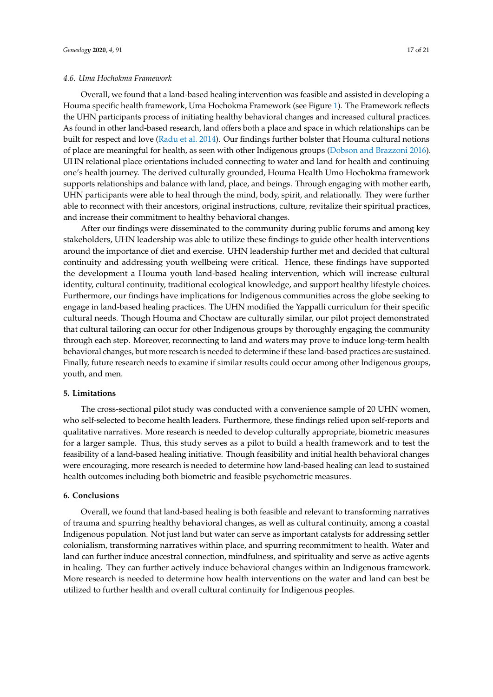Overall, we found that a land-based healing intervention was feasible and assisted in developing a Houma specific health framework, Uma Hochokma Framework (see Figure [1\)](#page-12-0). The Framework reflects the UHN participants process of initiating healthy behavioral changes and increased cultural practices. As found in other land-based research, land offers both a place and space in which relationships can be built for respect and love [\(Radu et al.](#page-19-7) [2014\)](#page-19-7). Our findings further bolster that Houma cultural notions of place are meaningful for health, as seen with other Indigenous groups [\(Dobson and Brazzoni](#page-18-2) [2016\)](#page-18-2). UHN relational place orientations included connecting to water and land for health and continuing one's health journey. The derived culturally grounded, Houma Health Umo Hochokma framework supports relationships and balance with land, place, and beings. Through engaging with mother earth, UHN participants were able to heal through the mind, body, spirit, and relationally. They were further able to reconnect with their ancestors, original instructions, culture, revitalize their spiritual practices, and increase their commitment to healthy behavioral changes.

After our findings were disseminated to the community during public forums and among key stakeholders, UHN leadership was able to utilize these findings to guide other health interventions around the importance of diet and exercise. UHN leadership further met and decided that cultural continuity and addressing youth wellbeing were critical. Hence, these findings have supported the development a Houma youth land-based healing intervention, which will increase cultural identity, cultural continuity, traditional ecological knowledge, and support healthy lifestyle choices. Furthermore, our findings have implications for Indigenous communities across the globe seeking to engage in land-based healing practices. The UHN modified the Yappalli curriculum for their specific cultural needs. Though Houma and Choctaw are culturally similar, our pilot project demonstrated that cultural tailoring can occur for other Indigenous groups by thoroughly engaging the community through each step. Moreover, reconnecting to land and waters may prove to induce long-term health behavioral changes, but more research is needed to determine if these land-based practices are sustained. Finally, future research needs to examine if similar results could occur among other Indigenous groups, youth, and men.

# **5. Limitations**

The cross-sectional pilot study was conducted with a convenience sample of 20 UHN women, who self-selected to become health leaders. Furthermore, these findings relied upon self-reports and qualitative narratives. More research is needed to develop culturally appropriate, biometric measures for a larger sample. Thus, this study serves as a pilot to build a health framework and to test the feasibility of a land-based healing initiative. Though feasibility and initial health behavioral changes were encouraging, more research is needed to determine how land-based healing can lead to sustained health outcomes including both biometric and feasible psychometric measures.

## **6. Conclusions**

Overall, we found that land-based healing is both feasible and relevant to transforming narratives of trauma and spurring healthy behavioral changes, as well as cultural continuity, among a coastal Indigenous population. Not just land but water can serve as important catalysts for addressing settler colonialism, transforming narratives within place, and spurring recommitment to health. Water and land can further induce ancestral connection, mindfulness, and spirituality and serve as active agents in healing. They can further actively induce behavioral changes within an Indigenous framework. More research is needed to determine how health interventions on the water and land can best be utilized to further health and overall cultural continuity for Indigenous peoples.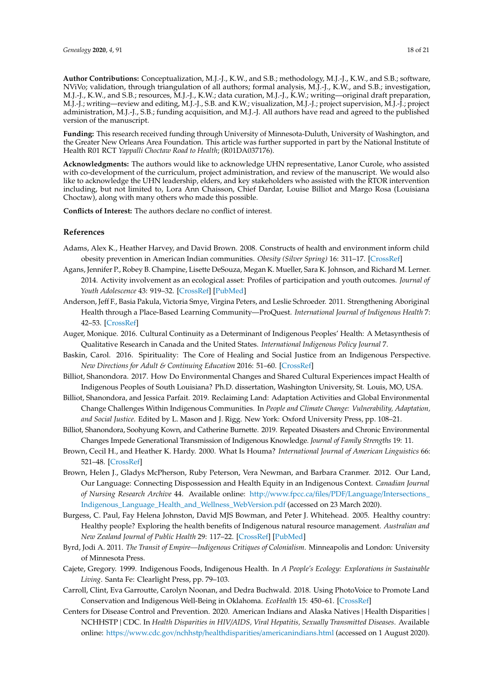**Author Contributions:** Conceptualization, M.J.-J., K.W., and S.B.; methodology, M.J.-J., K.W., and S.B.; software, NViVo; validation, through triangulation of all authors; formal analysis, M.J.-J., K.W., and S.B.; investigation, M.J.-J., K.W., and S.B.; resources, M.J.-J., K.W.; data curation, M.J.-J., K.W.; writing—original draft preparation, M.J.-J.; writing—review and editing, M.J.-J., S.B. and K.W.; visualization, M.J.-J.; project supervision, M.J.-J.; project administration, M.J.-J., S.B.; funding acquisition, and M.J.-J. All authors have read and agreed to the published version of the manuscript.

**Funding:** This research received funding through University of Minnesota-Duluth, University of Washington, and the Greater New Orleans Area Foundation. This article was further supported in part by the National Institute of Health R01 RCT *Yappalli Choctaw Road to Health*; (R01DA037176).

**Acknowledgments:** The authors would like to acknowledge UHN representative, Lanor Curole, who assisted with co-development of the curriculum, project administration, and review of the manuscript. We would also like to acknowledge the UHN leadership, elders, and key stakeholders who assisted with the RTOR intervention including, but not limited to, Lora Ann Chaisson, Chief Dardar, Louise Billiot and Margo Rosa (Louisiana Choctaw), along with many others who made this possible.

**Conflicts of Interest:** The authors declare no conflict of interest.

## **References**

- <span id="page-17-8"></span>Adams, Alex K., Heather Harvey, and David Brown. 2008. Constructs of health and environment inform child obesity prevention in American Indian communities. *Obesity (Silver Spring)* 16: 311–17. [\[CrossRef\]](http://dx.doi.org/10.1038/oby.2007.71)
- <span id="page-17-9"></span>Agans, Jennifer P., Robey B. Champine, Lisette DeSouza, Megan K. Mueller, Sara K. Johnson, and Richard M. Lerner. 2014. Activity involvement as an ecological asset: Profiles of participation and youth outcomes. *Journal of Youth Adolescence* 43: 919–32. [\[CrossRef\]](http://dx.doi.org/10.1007/s10964-014-0091-1) [\[PubMed\]](http://www.ncbi.nlm.nih.gov/pubmed/24510166)
- <span id="page-17-11"></span>Anderson, Jeff F., Basia Pakula, Victoria Smye, Virgina Peters, and Leslie Schroeder. 2011. Strengthening Aboriginal Health through a Place-Based Learning Community—ProQuest. *International Journal of Indigenous Health* 7: 42–53. [\[CrossRef\]](http://dx.doi.org/10.18357/ijih71201112352)
- <span id="page-17-14"></span>Auger, Monique. 2016. Cultural Continuity as a Determinant of Indigenous Peoples' Health: A Metasynthesis of Qualitative Research in Canada and the United States. *International Indigenous Policy Journal* 7.
- <span id="page-17-0"></span>Baskin, Carol. 2016. Spirituality: The Core of Healing and Social Justice from an Indigenous Perspective. *New Directions for Adult & Continuing Education* 2016: 51–60. [\[CrossRef\]](http://dx.doi.org/10.1002/ace.20212)
- <span id="page-17-4"></span>Billiot, Shanondora. 2017. How Do Environmental Changes and Shared Cultural Experiences impact Health of Indigenous Peoples of South Louisiana? Ph.D. dissertation, Washington University, St. Louis, MO, USA.
- <span id="page-17-6"></span>Billiot, Shanondora, and Jessica Parfait. 2019. Reclaiming Land: Adaptation Activities and Global Environmental Change Challenges Within Indigenous Communities. In *People and Climate Change: Vulnerability, Adaptation, and Social Justice*. Edited by L. Mason and J. Rigg. New York: Oxford University Press, pp. 108–21.
- <span id="page-17-1"></span>Billiot, Shanondora, Soohyung Kown, and Catherine Burnette. 2019. Repeated Disasters and Chronic Environmental Changes Impede Generational Transmission of Indigenous Knowledge. *Journal of Family Strengths* 19: 11.
- <span id="page-17-12"></span>Brown, Cecil H., and Heather K. Hardy. 2000. What Is Houma? *International Journal of American Linguistics* 66: 521–48. [\[CrossRef\]](http://dx.doi.org/10.1086/466440)
- <span id="page-17-2"></span>Brown, Helen J., Gladys McPherson, Ruby Peterson, Vera Newman, and Barbara Cranmer. 2012. Our Land, Our Language: Connecting Dispossession and Health Equity in an Indigenous Context. *Canadian Journal of Nursing Research Archive* 44. Available online: http://www.fpcc.ca/files/PDF/Language/[Intersections\\_](http://www.fpcc.ca/files/PDF/Language/Intersections_Indigenous_Language_Health_and_Wellness_WebVersion.pdf) [Indigenous\\_Language\\_Health\\_and\\_Wellness\\_WebVersion.pdf](http://www.fpcc.ca/files/PDF/Language/Intersections_Indigenous_Language_Health_and_Wellness_WebVersion.pdf) (accessed on 23 March 2020).
- <span id="page-17-5"></span>Burgess, C. Paul, Fay Helena Johnston, David MJS Bowman, and Peter J. Whitehead. 2005. Healthy country: Healthy people? Exploring the health benefits of Indigenous natural resource management. *Australian and New Zealand Journal of Public Health* 29: 117–22. [\[CrossRef\]](http://dx.doi.org/10.1111/j.1467-842X.2005.tb00060.x) [\[PubMed\]](http://www.ncbi.nlm.nih.gov/pubmed/15915614)
- <span id="page-17-13"></span>Byrd, Jodi A. 2011. *The Transit of Empire—Indigenous Critiques of Colonialism*. Minneapolis and London: University of Minnesota Press.
- <span id="page-17-3"></span>Cajete, Gregory. 1999. Indigenous Foods, Indigenous Health. In *A People's Ecology: Explorations in Sustainable Living*. Santa Fe: Clearlight Press, pp. 79–103.
- <span id="page-17-10"></span>Carroll, Clint, Eva Garroutte, Carolyn Noonan, and Dedra Buchwald. 2018. Using PhotoVoice to Promote Land Conservation and Indigenous Well-Being in Oklahoma. *EcoHealth* 15: 450–61. [\[CrossRef\]](http://dx.doi.org/10.1007/s10393-018-1330-9)
- <span id="page-17-7"></span>Centers for Disease Control and Prevention. 2020. American Indians and Alaska Natives | Health Disparities | NCHHSTP | CDC. In *Health Disparities in HIV*/*AIDS, Viral Hepatitis, Sexually Transmitted Diseases*. Available online: https://www.cdc.gov/nchhstp/healthdisparities/[americanindians.html](https://www.cdc.gov/nchhstp/healthdisparities/americanindians.html) (accessed on 1 August 2020).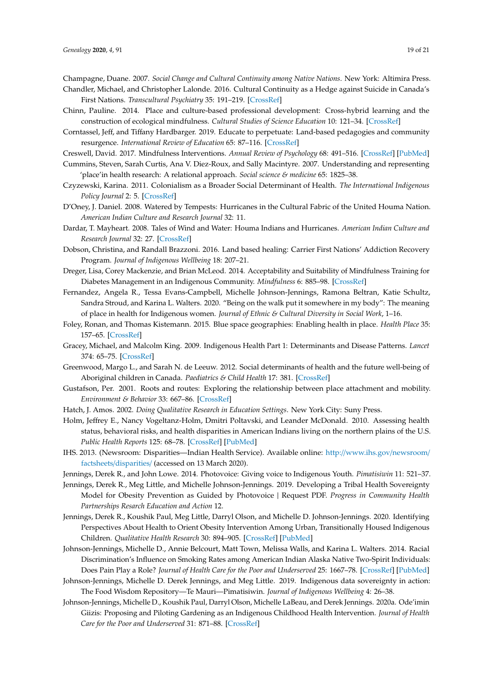<span id="page-18-12"></span><span id="page-18-10"></span>Champagne, Duane. 2007. *Social Change and Cultural Continuity among Native Nations*. New York: Altimira Press. Chandler, Michael, and Christopher Lalonde. 2016. Cultural Continuity as a Hedge against Suicide in Canada's

First Nations. *Transcultural Psychiatry* 35: 191–219. [\[CrossRef\]](http://dx.doi.org/10.1177/136346159803500202)

- <span id="page-18-21"></span>Chinn, Pauline. 2014. Place and culture-based professional development: Cross-hybrid learning and the construction of ecological mindfulness. *Cultural Studies of Science Education* 10: 121–34. [\[CrossRef\]](http://dx.doi.org/10.1007/s11422-014-9585-0)
- <span id="page-18-24"></span>Corntassel, Jeff, and Tiffany Hardbarger. 2019. Educate to perpetuate: Land-based pedagogies and community resurgence. *International Review of Education* 65: 87–116. [\[CrossRef\]](http://dx.doi.org/10.1007/s11159-018-9759-1)

<span id="page-18-19"></span>Creswell, David. 2017. Mindfulness Interventions. *Annual Review of Psychology* 68: 491–516. [\[CrossRef\]](http://dx.doi.org/10.1146/annurev-psych-042716-051139) [\[PubMed\]](http://www.ncbi.nlm.nih.gov/pubmed/27687118)

- <span id="page-18-14"></span>Cummins, Steven, Sarah Curtis, Ana V. Diez-Roux, and Sally Macintyre. 2007. Understanding and representing 'place'in health research: A relational approach. *Social science & medicine* 65: 1825–38.
- <span id="page-18-1"></span>Czyzewski, Karina. 2011. Colonialism as a Broader Social Determinant of Health. *The International Indigenous Policy Journal* 2: 5. [\[CrossRef\]](http://dx.doi.org/10.18584/iipj.2011.2.1.5)
- <span id="page-18-16"></span>D'Oney, J. Daniel. 2008. Watered by Tempests: Hurricanes in the Cultural Fabric of the United Houma Nation. *American Indian Culture and Research Journal* 32: 11.
- <span id="page-18-4"></span>Dardar, T. Mayheart. 2008. Tales of Wind and Water: Houma Indians and Hurricanes. *American Indian Culture and Research Journal* 32: 27. [\[CrossRef\]](http://dx.doi.org/10.17953/aicr.32.2.g3t0v8544k620885)
- <span id="page-18-2"></span>Dobson, Christina, and Randall Brazzoni. 2016. Land based healing: Carrier First Nations' Addiction Recovery Program. *Journal of Indigenous Wellbeing* 18: 207–21.
- <span id="page-18-20"></span>Dreger, Lisa, Corey Mackenzie, and Brian McLeod. 2014. Acceptability and Suitability of Mindfulness Training for Diabetes Management in an Indigenous Community. *Mindfulness* 6: 885–98. [\[CrossRef\]](http://dx.doi.org/10.1007/s12671-014-0332-0)
- <span id="page-18-15"></span>Fernandez, Angela R., Tessa Evans-Campbell, Michelle Johnson-Jennings, Ramona Beltran, Katie Schultz, Sandra Stroud, and Karina L. Walters. 2020. "Being on the walk put it somewhere in my body": The meaning of place in health for Indigenous women. *Journal of Ethnic & Cultural Diversity in Social Work*, 1–16.
- <span id="page-18-22"></span>Foley, Ronan, and Thomas Kistemann. 2015. Blue space geographies: Enabling health in place. *Health Place* 35: 157–65. [\[CrossRef\]](http://dx.doi.org/10.1016/j.healthplace.2015.07.003)
- <span id="page-18-11"></span>Gracey, Michael, and Malcolm King. 2009. Indigenous Health Part 1: Determinants and Disease Patterns. *Lancet* 374: 65–75. [\[CrossRef\]](http://dx.doi.org/10.1016/S0140-6736(09)60914-4)
- <span id="page-18-23"></span>Greenwood, Margo L., and Sarah N. de Leeuw. 2012. Social determinants of health and the future well-being of Aboriginal children in Canada. *Paediatrics & Child Health* 17: 381. [\[CrossRef\]](http://dx.doi.org/10.1093/pch/17.7.381)
- <span id="page-18-18"></span>Gustafson, Per. 2001. Roots and routes: Exploring the relationship between place attachment and mobility. *Environment & Behavior* 33: 667–86. [\[CrossRef\]](http://dx.doi.org/10.1177/00139160121973188)
- <span id="page-18-17"></span>Hatch, J. Amos. 2002. *Doing Qualitative Research in Education Settings*. New York City: Suny Press.
- <span id="page-18-3"></span>Holm, Jeffrey E., Nancy Vogeltanz-Holm, Dmitri Poltavski, and Leander McDonald. 2010. Assessing health status, behavioral risks, and health disparities in American Indians living on the northern plains of the U.S. *Public Health Reports* 125: 68–78. [\[CrossRef\]](http://dx.doi.org/10.1177/003335491012500110) [\[PubMed\]](http://www.ncbi.nlm.nih.gov/pubmed/20402198)
- <span id="page-18-5"></span>IHS. 2013. (Newsroom: Disparities—Indian Health Service). Available online: http://[www.ihs.gov](http://www.ihs.gov/newsroom/factsheets/disparities/)/newsroom/ factsheets/[disparities](http://www.ihs.gov/newsroom/factsheets/disparities/)/ (accessed on 13 March 2020).
- <span id="page-18-13"></span>Jennings, Derek R., and John Lowe. 2014. Photovoice: Giving voice to Indigenous Youth. *Pimatisiwin* 11: 521–37.
- <span id="page-18-7"></span>Jennings, Derek R., Meg Little, and Michelle Johnson-Jennings. 2019. Developing a Tribal Health Sovereignty Model for Obesity Prevention as Guided by Photovoice | Request PDF. *Progress in Community Health Partnerships Resarch Education and Action* 12.
- <span id="page-18-0"></span>Jennings, Derek R., Koushik Paul, Meg Little, Darryl Olson, and Michelle D. Johnson-Jennings. 2020. Identifying Perspectives About Health to Orient Obesity Intervention Among Urban, Transitionally Housed Indigenous Children. *Qualitative Health Research* 30: 894–905. [\[CrossRef\]](http://dx.doi.org/10.1177/1049732319900164) [\[PubMed\]](http://www.ncbi.nlm.nih.gov/pubmed/32003290)
- <span id="page-18-6"></span>Johnson-Jennings, Michelle D., Annie Belcourt, Matt Town, Melissa Walls, and Karina L. Walters. 2014. Racial Discrimination's Influence on Smoking Rates among American Indian Alaska Native Two-Spirit Individuals: Does Pain Play a Role? *Journal of Health Care for the Poor and Underserved* 25: 1667–78. [\[CrossRef\]](http://dx.doi.org/10.1353/hpu.2014.0193) [\[PubMed\]](http://www.ncbi.nlm.nih.gov/pubmed/25418234)
- <span id="page-18-8"></span>Johnson-Jennings, Michelle D. Derek Jennings, and Meg Little. 2019. Indigenous data sovereignty in action: The Food Wisdom Repository—Te Mauri—Pimatisiwin. *Journal of Indigenous Wellbeing* 4: 26–38.
- <span id="page-18-9"></span>Johnson-Jennings, Michelle D., Koushik Paul, Darryl Olson, Michelle LaBeau, and Derek Jennings. 2020a. Ode'imin Giizis: Proposing and Piloting Gardening as an Indigenous Childhood Health Intervention. *Journal of Health Care for the Poor and Underserved* 31: 871–88. [\[CrossRef\]](http://dx.doi.org/10.1353/hpu.2020.0066)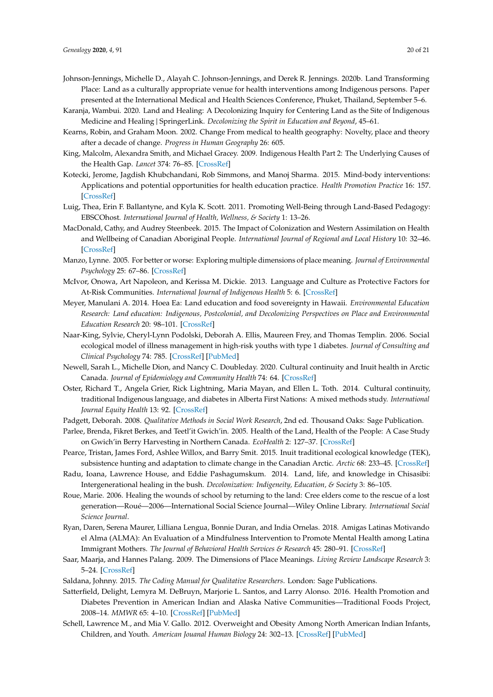- <span id="page-19-3"></span>Johnson-Jennings, Michelle D., Alayah C. Johnson-Jennings, and Derek R. Jennings. 2020b. Land Transforming Place: Land as a culturally appropriate venue for health interventions among Indigenous persons. Paper presented at the International Medical and Health Sciences Conference, Phuket, Thailand, September 5–6.
- <span id="page-19-12"></span>Karanja, Wambui. 2020. Land and Healing: A Decolonizing Inquiry for Centering Land as the Site of Indigenous Medicine and Healing | SpringerLink. *Decolonizing the Spirit in Education and Beyond*, 45–61.
- <span id="page-19-10"></span>Kearns, Robin, and Graham Moon. 2002. Change From medical to health geography: Novelty, place and theory after a decade of change. *Progress in Human Geography* 26: 605.
- <span id="page-19-4"></span>King, Malcolm, Alexandra Smith, and Michael Gracey. 2009. Indigenous Health Part 2: The Underlying Causes of the Health Gap. *Lancet* 374: 76–85. [\[CrossRef\]](http://dx.doi.org/10.1016/S0140-6736(09)60827-8)
- <span id="page-19-17"></span>Kotecki, Jerome, Jagdish Khubchandani, Rob Simmons, and Manoj Sharma. 2015. Mind-body interventions: Applications and potential opportunities for health education practice. *Health Promotion Practice* 16: 157. [\[CrossRef\]](http://dx.doi.org/10.1177/1524839914563747)
- <span id="page-19-9"></span>Luig, Thea, Erin F. Ballantyne, and Kyla K. Scott. 2011. Promoting Well-Being through Land-Based Pedagogy: EBSCOhost. *International Journal of Health, Wellness, & Society* 1: 13–26.
- <span id="page-19-0"></span>MacDonald, Cathy, and Audrey Steenbeek. 2015. The Impact of Colonization and Western Assimilation on Health and Wellbeing of Canadian Aboriginal People. *International Journal of Regional and Local History* 10: 32–46. [\[CrossRef\]](http://dx.doi.org/10.1179/2051453015Z.00000000023)
- <span id="page-19-11"></span>Manzo, Lynne. 2005. For better or worse: Exploring multiple dimensions of place meaning. *Journal of Environmental Psychology* 25: 67–86. [\[CrossRef\]](http://dx.doi.org/10.1016/j.jenvp.2005.01.002)
- <span id="page-19-19"></span>McIvor, Onowa, Art Napoleon, and Kerissa M. Dickie. 2013. Language and Culture as Protective Factors for At-Risk Communities. *International Journal of Indigenous Health* 5: 6. [\[CrossRef\]](http://dx.doi.org/10.18357/ijih51200912327)
- <span id="page-19-20"></span>Meyer, Manulani A. 2014. Hoea Ea: Land education and food sovereignty in Hawaii. *Environmental Education Research: Land education: Indigenous, Postcolonial, and Decolonizing Perspectives on Place and Environmental Education Research* 20: 98–101. [\[CrossRef\]](http://dx.doi.org/10.1080/13504622.2013.852656)
- <span id="page-19-13"></span>Naar-King, Sylvie, Cheryl-Lynn Podolski, Deborah A. Ellis, Maureen Frey, and Thomas Templin. 2006. Social ecological model of illness management in high-risk youths with type 1 diabetes. *Journal of Consulting and Clinical Psychology* 74: 785. [\[CrossRef\]](http://dx.doi.org/10.1037/0022-006X.74.4.785) [\[PubMed\]](http://www.ncbi.nlm.nih.gov/pubmed/16881786)
- <span id="page-19-21"></span>Newell, Sarah L., Michelle Dion, and Nancy C. Doubleday. 2020. Cultural continuity and Inuit health in Arctic Canada. *Journal of Epidemiology and Community Health* 74: 64. [\[CrossRef\]](http://dx.doi.org/10.1136/jech-2018-211856)
- <span id="page-19-5"></span>Oster, Richard T., Angela Grier, Rick Lightning, Maria Mayan, and Ellen L. Toth. 2014. Cultural continuity, traditional Indigenous language, and diabetes in Alberta First Nations: A mixed methods study. *International Journal Equity Health* 13: 92. [\[CrossRef\]](http://dx.doi.org/10.1186/s12939-014-0092-4)
- <span id="page-19-14"></span>Padgett, Deborah. 2008. *Qualitative Methods in Social Work Research*, 2nd ed. Thousand Oaks: Sage Publication.
- <span id="page-19-6"></span>Parlee, Brenda, Fikret Berkes, and Teetl'it Gwich'in. 2005. Health of the Land, Health of the People: A Case Study on Gwich'in Berry Harvesting in Northern Canada. *EcoHealth* 2: 127–37. [\[CrossRef\]](http://dx.doi.org/10.1007/s10393-005-3870-z)
- <span id="page-19-22"></span>Pearce, Tristan, James Ford, Ashlee Willox, and Barry Smit. 2015. Inuit traditional ecological knowledge (TEK), subsistence hunting and adaptation to climate change in the Canadian Arctic. *Arctic* 68: 233–45. [\[CrossRef\]](http://dx.doi.org/10.14430/arctic4475)
- <span id="page-19-7"></span>Radu, Ioana, Lawrence House, and Eddie Pashagumskum. 2014. Land, life, and knowledge in Chisasibi: Intergenerational healing in the bush. *Decolonization: Indigeneity, Education, & Society* 3: 86–105.
- <span id="page-19-8"></span>Roue, Marie. 2006. Healing the wounds of school by returning to the land: Cree elders come to the rescue of a lost generation—Roué—2006—International Social Science Journal—Wiley Online Library. *International Social Science Journal*.
- <span id="page-19-18"></span>Ryan, Daren, Serena Maurer, Lilliana Lengua, Bonnie Duran, and India Ornelas. 2018. Amigas Latinas Motivando el Alma (ALMA): An Evaluation of a Mindfulness Intervention to Promote Mental Health among Latina Immigrant Mothers. *The Journal of Behavioral Health Services & Research* 45: 280–91. [\[CrossRef\]](http://dx.doi.org/10.1007/s11414-017-9582-7)
- <span id="page-19-16"></span>Saar, Maarja, and Hannes Palang. 2009. The Dimensions of Place Meanings. *Living Review Landscape Research* 3: 5–24. [\[CrossRef\]](http://dx.doi.org/10.12942/lrlr-2009-3)
- <span id="page-19-15"></span>Saldana, Johnny. 2015. *The Coding Manual for Qualitative Researchers*. London: Sage Publications.
- <span id="page-19-2"></span>Satterfield, Delight, Lemyra M. DeBruyn, Marjorie L. Santos, and Larry Alonso. 2016. Health Promotion and Diabetes Prevention in American Indian and Alaska Native Communities—Traditional Foods Project, 2008–14. *MMWR* 65: 4–10. [\[CrossRef\]](http://dx.doi.org/10.15585/mmwr.su6501a3) [\[PubMed\]](http://www.ncbi.nlm.nih.gov/pubmed/26916637)
- <span id="page-19-1"></span>Schell, Lawrence M., and Mia V. Gallo. 2012. Overweight and Obesity Among North American Indian Infants, Children, and Youth. *American Jouanal Human Biology* 24: 302–13. [\[CrossRef\]](http://dx.doi.org/10.1002/ajhb.22257) [\[PubMed\]](http://www.ncbi.nlm.nih.gov/pubmed/22378356)